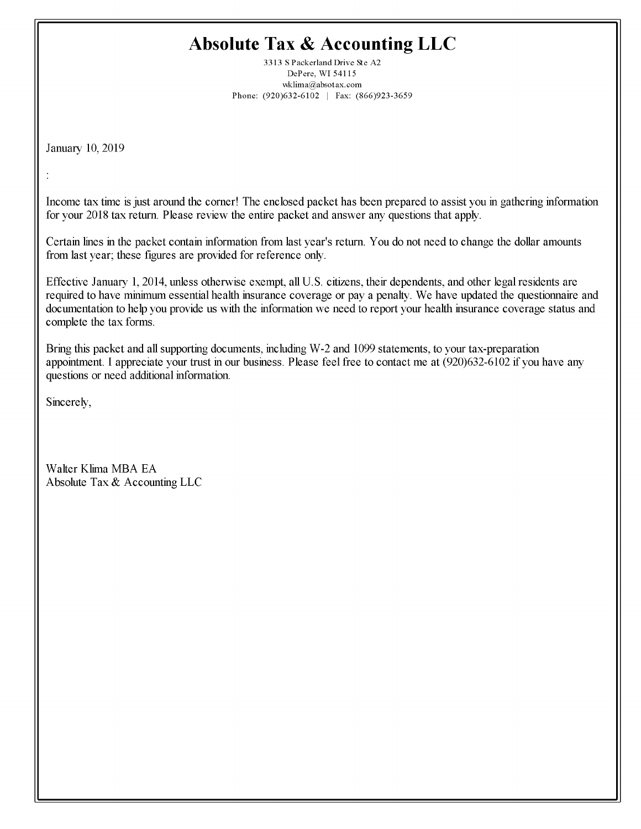## **Absolute Tax & Accounting LLC**

3313 S Packerland Drive Ste A2 DePere, WI 54115 wklima@absotax.com Phone: (920)632-6102 | Fax: (866)923-3659

January 10, 2019

Income tax time is just around the corner! The enclosed packet has been prepared to assist you in gathering information for your 2018 tax return. Please review the entire packet and answer any questions that apply.

Certain lines in the packet contain information from last year's return. You do not need to change the dollar amounts from last year; these figures are provided for reference only.

Effective January 1, 2014, unless otherwise exempt, all U.S. citizens, their dependents, and other legal residents are required to have minimum essential health insurance coverage or pay a penalty. We have updated the questionnaire and documentation to help you provide us with the information we need to report your health insurance coverage status and complete the tax forms.

Bring this packet and all supporting documents, including W-2 and 1099 statements, to your tax-preparation appointment. I appreciate your trust in our business. Please feel free to contact me at (920)632-6102 if you have any questions or need additional information.

Sincerely,

Walter Klima MBA EA Absolute Tax & Accounting LLC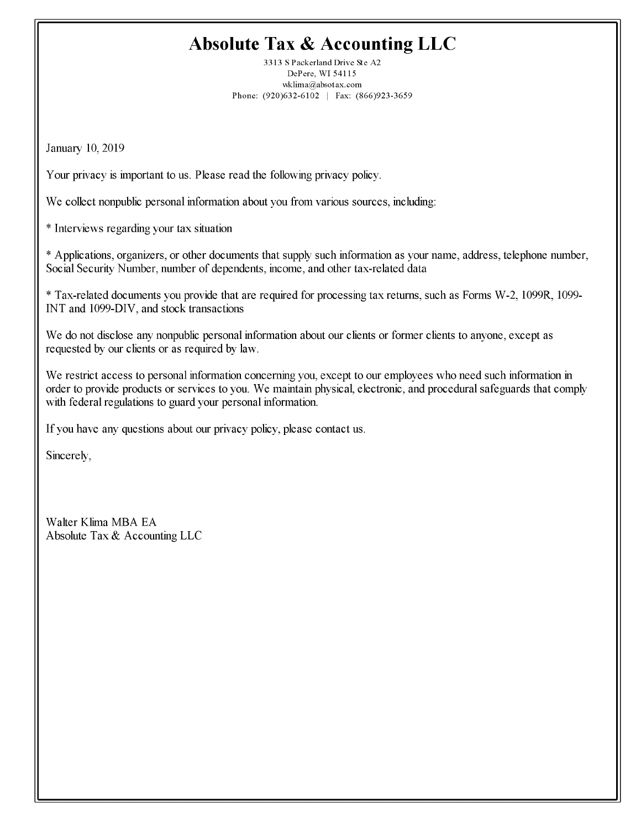# **Absolute Tax & Accounting LLC**

3313 S Packerland Drive Ste A2 DePere, WI 54115 wklima@absotax.com Phone: (920)632-6102 | Fax: (866)923-3659

January 10, 2019

Your privacy is important to us. Please read the following privacy policy.

We collect nonpublic personal information about you from various sources, including:

\* Interviews regarding your tax situation

\* Applications, organizers, or other documents that supply such information as your name, address, telephone number, Social Security Number, number of dependents, income, and other tax-related data

\* Tax-related documents you provide that are required for processing tax returns, such as Forms W-2, 1099R, 1099-INT and 1099-DIV, and stock transactions

We do not disclose any nonpublic personal information about our clients or former clients to anyone, except as requested by our clients or as required by law.

We restrict access to personal information concerning you, except to our employees who need such information in order to provide products or services to you. We maintain physical, electronic, and procedural safeguards that comply with federal regulations to guard your personal information.

If you have any questions about our privacy policy, please contact us.

Sincerely.

Walter Klima MBA EA Absolute Tax & Accounting LLC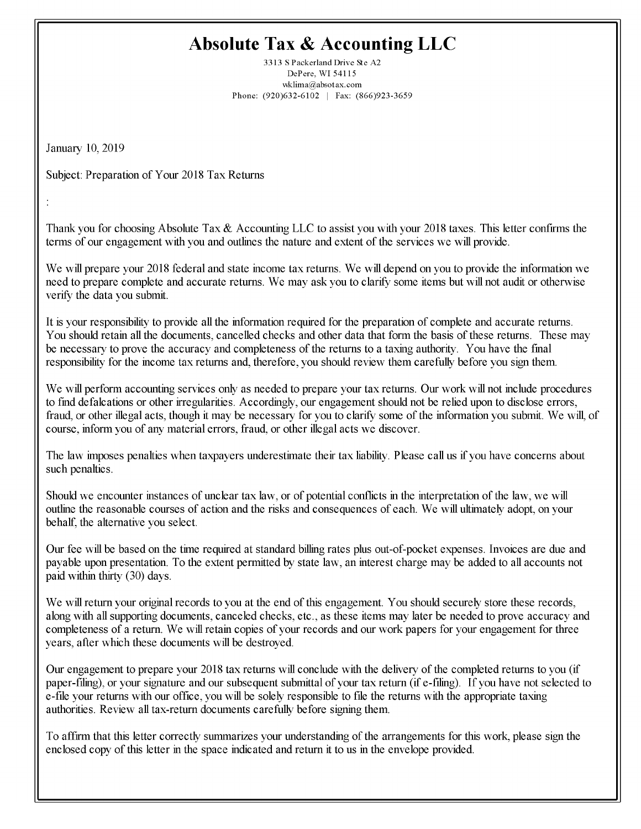## **Absolute Tax & Accounting LLC**

3313 S Packerland Drive Ste A2 DePere, WI 54115 wklima@absotax.com Phone: (920)632-6102 | Fax: (866)923-3659

January 10, 2019

Subject: Preparation of Your 2018 Tax Returns

Thank you for choosing Absolute Tax & Accounting LLC to assist you with your 2018 taxes. This letter confirms the terms of our engagement with you and outlines the nature and extent of the services we will provide.

We will prepare your 2018 federal and state income tax returns. We will depend on you to provide the information we need to prepare complete and accurate returns. We may ask you to clarify some items but will not audit or otherwise verify the data you submit.

It is your responsibility to provide all the information required for the preparation of complete and accurate returns. You should retain all the documents, cancelled checks and other data that form the basis of these returns. These may be necessary to prove the accuracy and completeness of the returns to a taxing authority. You have the final responsibility for the income tax returns and, therefore, you should review them carefully before you sign them.

We will perform accounting services only as needed to prepare your tax returns. Our work will not include procedures to find defalcations or other irregularities. Accordingly, our engagement should not be relied upon to disclose errors, fraud, or other illegal acts, though it may be necessary for you to clarify some of the information you submit. We will, of course, inform you of any material errors, fraud, or other illegal acts we discover.

The law imposes penalties when taxpayers underestimate their tax liability. Please call us if you have concerns about such penalties.

Should we encounter instances of unclear tax law, or of potential conflicts in the interpretation of the law, we will outline the reasonable courses of action and the risks and consequences of each. We will ultimately adopt, on your behalf, the alternative you select.

Our fee will be based on the time required at standard billing rates plus out-of-pocket expenses. Invoices are due and payable upon presentation. To the extent permitted by state law, an interest charge may be added to all accounts not paid within thirty (30) days.

We will return your original records to you at the end of this engagement. You should securely store these records, along with all supporting documents, canceled checks, etc., as these items may later be needed to prove accuracy and completeness of a return. We will retain copies of your records and our work papers for your engagement for three years, after which these documents will be destroyed.

Our engagement to prepare your 2018 tax returns will conclude with the delivery of the completed returns to you (if paper-filing), or your signature and our subsequent submittal of your tax return (if e-filing). If you have not selected to e-file your returns with our office, you will be solely responsible to file the returns with the appropriate taxing authorities. Review all tax-return documents carefully before signing them.

To affirm that this letter correctly summarizes your understanding of the arrangements for this work, please sign the enclosed copy of this letter in the space indicated and return it to us in the envelope provided.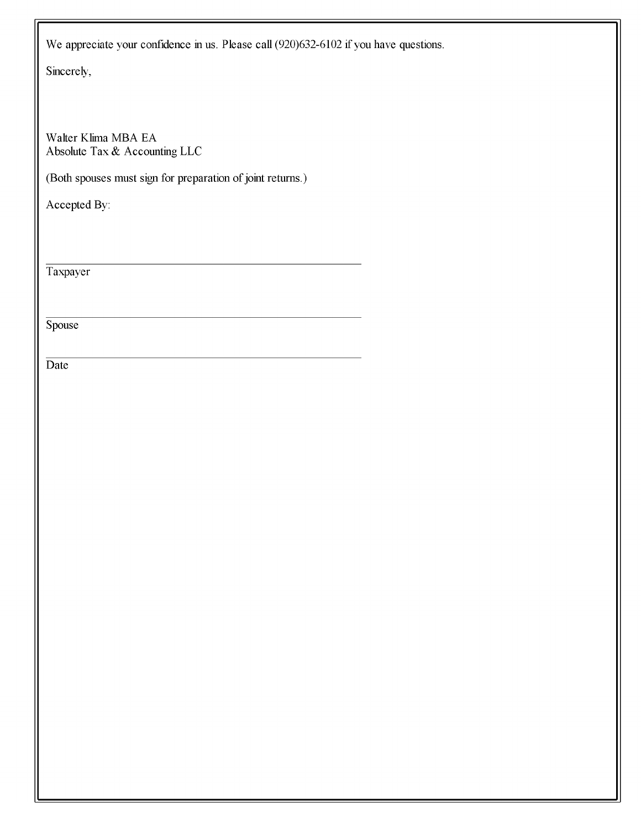We appreciate your confidence in us. Please call (920)632-6102 if you have questions.

Sincerely,

Walter Klima MBA EA Absolute Tax & Accounting LLC

(Both spouses must sign for preparation of joint returns.)

Accepted By:

Taxpayer

Spouse

Date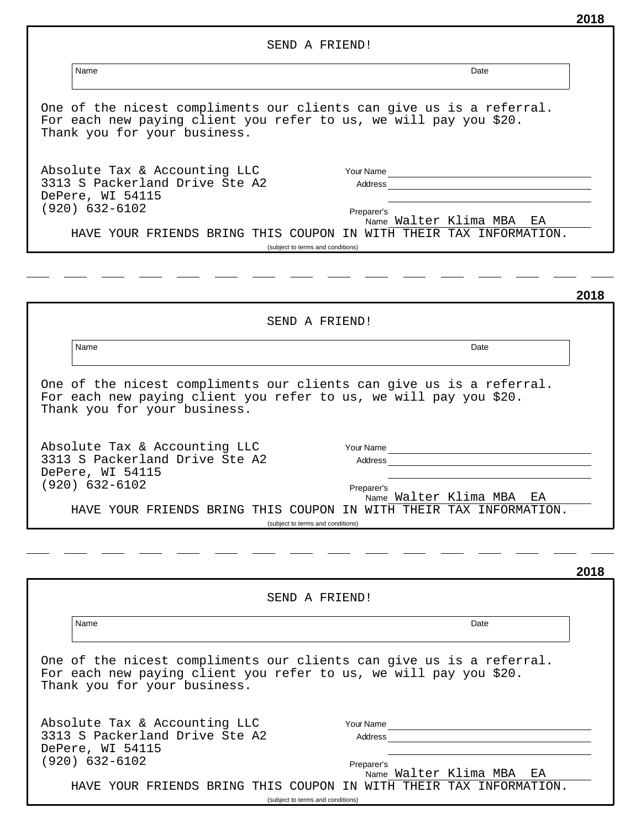| SEND A FRIEND!                                                                                                                                                                  |                                                                                                                                                                                                                                          |      |
|---------------------------------------------------------------------------------------------------------------------------------------------------------------------------------|------------------------------------------------------------------------------------------------------------------------------------------------------------------------------------------------------------------------------------------|------|
| Name                                                                                                                                                                            | Date                                                                                                                                                                                                                                     |      |
| One of the nicest compliments our clients can give us is a referral.<br>For each new paying client you refer to us, we will pay you \$20.<br>Thank you for your business.       |                                                                                                                                                                                                                                          |      |
| Absolute Tax & Accounting LLC<br>3313 S Packerland Drive Ste A2<br>DePere, WI 54115<br>$(920) 632 - 6102$<br>HAVE YOUR FRIENDS BRING THIS COUPON IN WITH THEIR TAX INFORMATION. | Your Name <u>________________________________</u><br>Address<br>Preparer's<br>Name Walter Klima MBA EA                                                                                                                                   |      |
| (subject to terms and conditions)                                                                                                                                               |                                                                                                                                                                                                                                          |      |
|                                                                                                                                                                                 |                                                                                                                                                                                                                                          | 2018 |
| SEND A FRIEND!                                                                                                                                                                  |                                                                                                                                                                                                                                          |      |
| Name                                                                                                                                                                            | Date                                                                                                                                                                                                                                     |      |
| One of the nicest compliments our clients can give us is a referral.<br>For each new paying client you refer to us, we will pay you \$20.<br>Thank you for your business.       |                                                                                                                                                                                                                                          |      |
| Absolute Tax & Accounting LLC<br>3313 S Packerland Drive Ste A2<br>DePere, WI 54115                                                                                             | Your Name and the contract of the contract of the contract of the contract of the contract of the contract of the contract of the contract of the contract of the contract of the contract of the contract of the contract of<br>Address |      |
| $(920) 632 - 6102$<br>HAVE YOUR FRIENDS BRING THIS COUPON IN WITH THEIR TAX INFORMATION.                                                                                        | Preparer's<br>Name Walter Klima MBA<br>ΕA                                                                                                                                                                                                |      |
| (subject to terms and conditions)                                                                                                                                               |                                                                                                                                                                                                                                          |      |
|                                                                                                                                                                                 |                                                                                                                                                                                                                                          | 2018 |
| SEND A FRIEND!                                                                                                                                                                  |                                                                                                                                                                                                                                          |      |
| Name                                                                                                                                                                            | Date                                                                                                                                                                                                                                     |      |
| One of the nicest compliments our clients can give us is a referral.<br>For each new paying client you refer to us, we will pay you \$20.<br>Thank you for your business.       |                                                                                                                                                                                                                                          |      |
| Absolute Tax & Accounting LLC<br>3313 S Packerland Drive Ste A2<br>DePere, WI 54115<br>$(920) 632 - 6102$                                                                       | Address<br>Preparer's<br>Name Walter Klima MBA EA                                                                                                                                                                                        |      |
| HAVE YOUR FRIENDS BRING THIS COUPON IN WITH THEIR TAX INFORMATION.                                                                                                              |                                                                                                                                                                                                                                          |      |

(subject to terms and conditions)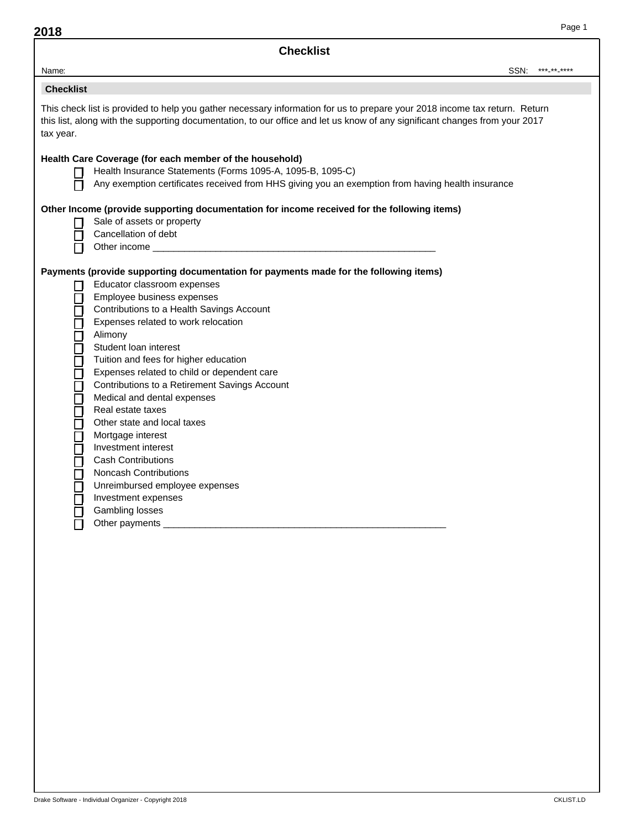| Name:                                                                                                                                                                                                                                                                  | SSN:<br>*** ** **** |
|------------------------------------------------------------------------------------------------------------------------------------------------------------------------------------------------------------------------------------------------------------------------|---------------------|
| <b>Checklist</b>                                                                                                                                                                                                                                                       |                     |
| This check list is provided to help you gather necessary information for us to prepare your 2018 income tax return. Return<br>this list, along with the supporting documentation, to our office and let us know of any significant changes from your 2017<br>tax year. |                     |
| Health Care Coverage (for each member of the household)<br>Health Insurance Statements (Forms 1095-A, 1095-B, 1095-C)<br>Any exemption certificates received from HHS giving you an exemption from having health insurance                                             |                     |
| Other Income (provide supporting documentation for income received for the following items)                                                                                                                                                                            |                     |
| Sale of assets or property                                                                                                                                                                                                                                             |                     |
| Cancellation of debt                                                                                                                                                                                                                                                   |                     |
| Other income ______                                                                                                                                                                                                                                                    |                     |
| Payments (provide supporting documentation for payments made for the following items)<br>Educator classroom expenses<br>Employee business expenses                                                                                                                     |                     |
| Contributions to a Health Savings Account                                                                                                                                                                                                                              |                     |
| Expenses related to work relocation<br>00000000000000000<br>Alimony                                                                                                                                                                                                    |                     |
| Student loan interest                                                                                                                                                                                                                                                  |                     |
| Tuition and fees for higher education                                                                                                                                                                                                                                  |                     |
| Expenses related to child or dependent care                                                                                                                                                                                                                            |                     |
| Contributions to a Retirement Savings Account                                                                                                                                                                                                                          |                     |
| Medical and dental expenses                                                                                                                                                                                                                                            |                     |
| Real estate taxes<br>Other state and local taxes                                                                                                                                                                                                                       |                     |
| Mortgage interest                                                                                                                                                                                                                                                      |                     |
| Investment interest                                                                                                                                                                                                                                                    |                     |
| <b>Cash Contributions</b>                                                                                                                                                                                                                                              |                     |
| Noncash Contributions                                                                                                                                                                                                                                                  |                     |
| Unreimbursed employee expenses                                                                                                                                                                                                                                         |                     |
| Investment expenses                                                                                                                                                                                                                                                    |                     |
| Gambling losses                                                                                                                                                                                                                                                        |                     |
| Other payments _                                                                                                                                                                                                                                                       |                     |
|                                                                                                                                                                                                                                                                        |                     |
|                                                                                                                                                                                                                                                                        |                     |
|                                                                                                                                                                                                                                                                        |                     |
|                                                                                                                                                                                                                                                                        |                     |
|                                                                                                                                                                                                                                                                        |                     |
|                                                                                                                                                                                                                                                                        |                     |
|                                                                                                                                                                                                                                                                        |                     |
|                                                                                                                                                                                                                                                                        |                     |
|                                                                                                                                                                                                                                                                        |                     |
|                                                                                                                                                                                                                                                                        |                     |
|                                                                                                                                                                                                                                                                        |                     |
|                                                                                                                                                                                                                                                                        |                     |
|                                                                                                                                                                                                                                                                        |                     |
|                                                                                                                                                                                                                                                                        |                     |
|                                                                                                                                                                                                                                                                        |                     |
|                                                                                                                                                                                                                                                                        |                     |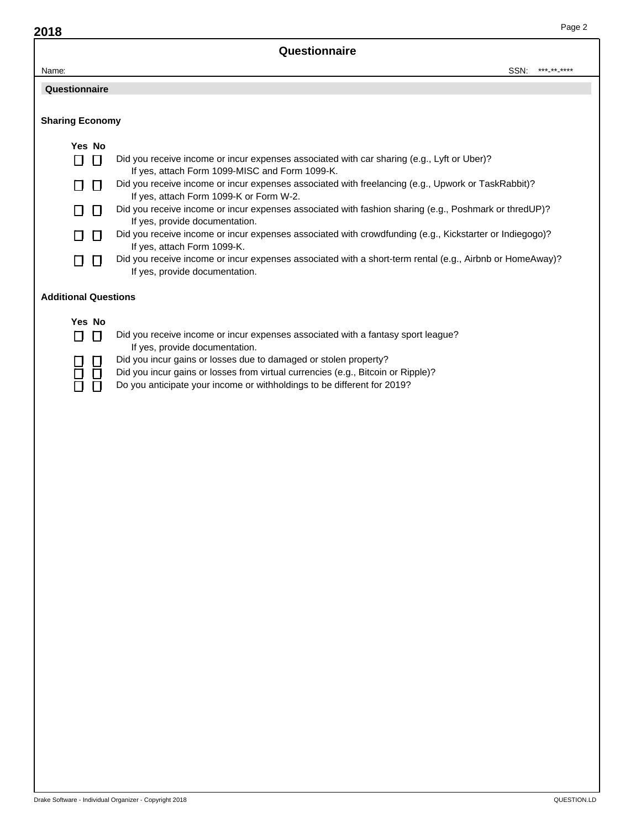| 2018                        | Page 2                                                                                                                                                      |
|-----------------------------|-------------------------------------------------------------------------------------------------------------------------------------------------------------|
|                             | Questionnaire                                                                                                                                               |
| Name:                       | SSN:<br>*** ** ****                                                                                                                                         |
| Questionnaire               |                                                                                                                                                             |
|                             |                                                                                                                                                             |
| <b>Sharing Economy</b>      |                                                                                                                                                             |
| Yes No                      |                                                                                                                                                             |
| П<br>LΙ                     | Did you receive income or incur expenses associated with car sharing (e.g., Lyft or Uber)?<br>If yes, attach Form 1099-MISC and Form 1099-K.                |
| H                           | Did you receive income or incur expenses associated with freelancing (e.g., Upwork or TaskRabbit)?<br>If yes, attach Form 1099-K or Form W-2.               |
| H                           | Did you receive income or incur expenses associated with fashion sharing (e.g., Poshmark or thredUP)?                                                       |
| $\perp$                     | If yes, provide documentation.<br>Did you receive income or incur expenses associated with crowdfunding (e.g., Kickstarter or Indiegogo)?                   |
|                             | If yes, attach Form 1099-K.                                                                                                                                 |
| $\mathsf{L}$                | Did you receive income or incur expenses associated with a short-term rental (e.g., Airbnb or HomeAway)?<br>If yes, provide documentation.                  |
| <b>Additional Questions</b> |                                                                                                                                                             |
| Yes No                      |                                                                                                                                                             |
| П<br>$\mathsf{L}$           | Did you receive income or incur expenses associated with a fantasy sport league?<br>If yes, provide documentation.                                          |
|                             | Did you incur gains or losses due to damaged or stolen property?                                                                                            |
|                             | Did you incur gains or losses from virtual currencies (e.g., Bitcoin or Ripple)?<br>Do you anticipate your income or withholdings to be different for 2019? |
|                             |                                                                                                                                                             |
|                             |                                                                                                                                                             |
|                             |                                                                                                                                                             |
|                             |                                                                                                                                                             |
|                             |                                                                                                                                                             |
|                             |                                                                                                                                                             |
|                             |                                                                                                                                                             |
|                             |                                                                                                                                                             |
|                             |                                                                                                                                                             |
|                             |                                                                                                                                                             |
|                             |                                                                                                                                                             |
|                             |                                                                                                                                                             |
|                             |                                                                                                                                                             |
|                             |                                                                                                                                                             |
|                             |                                                                                                                                                             |
|                             |                                                                                                                                                             |
|                             |                                                                                                                                                             |
|                             |                                                                                                                                                             |
|                             |                                                                                                                                                             |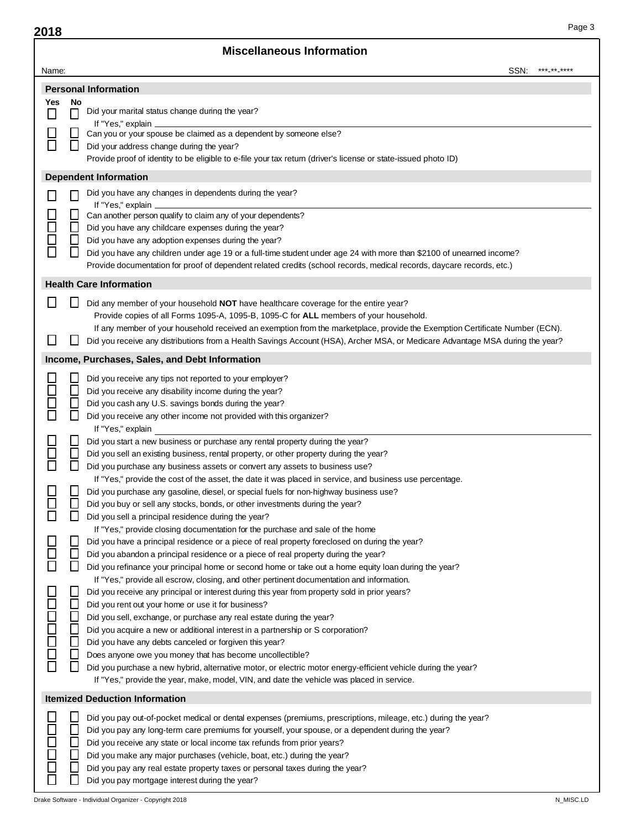|             | <b>Miscellaneous Information</b>                                                                                                                                                                                                                                                                                                                                                                                                                                                                                                                                                                                                                                                                                                                                                                                                                                                                                                                                                                                                                                                                                                                                                                                                                                                                                                                                                                                                                                                                                                                                                                                                                                                                                                                                                                                              |      |             |
|-------------|-------------------------------------------------------------------------------------------------------------------------------------------------------------------------------------------------------------------------------------------------------------------------------------------------------------------------------------------------------------------------------------------------------------------------------------------------------------------------------------------------------------------------------------------------------------------------------------------------------------------------------------------------------------------------------------------------------------------------------------------------------------------------------------------------------------------------------------------------------------------------------------------------------------------------------------------------------------------------------------------------------------------------------------------------------------------------------------------------------------------------------------------------------------------------------------------------------------------------------------------------------------------------------------------------------------------------------------------------------------------------------------------------------------------------------------------------------------------------------------------------------------------------------------------------------------------------------------------------------------------------------------------------------------------------------------------------------------------------------------------------------------------------------------------------------------------------------|------|-------------|
| Name:       |                                                                                                                                                                                                                                                                                                                                                                                                                                                                                                                                                                                                                                                                                                                                                                                                                                                                                                                                                                                                                                                                                                                                                                                                                                                                                                                                                                                                                                                                                                                                                                                                                                                                                                                                                                                                                               | SSN: | *** ** **** |
|             | <b>Personal Information</b>                                                                                                                                                                                                                                                                                                                                                                                                                                                                                                                                                                                                                                                                                                                                                                                                                                                                                                                                                                                                                                                                                                                                                                                                                                                                                                                                                                                                                                                                                                                                                                                                                                                                                                                                                                                                   |      |             |
| Yes         | No<br>Did your marital status change during the year?<br>If "Yes," explain.<br>Can you or your spouse be claimed as a dependent by someone else?<br>$\mathsf{L}$<br>Did your address change during the year?<br>Provide proof of identity to be eligible to e-file your tax return (driver's license or state-issued photo ID)                                                                                                                                                                                                                                                                                                                                                                                                                                                                                                                                                                                                                                                                                                                                                                                                                                                                                                                                                                                                                                                                                                                                                                                                                                                                                                                                                                                                                                                                                                |      |             |
|             | <b>Dependent Information</b>                                                                                                                                                                                                                                                                                                                                                                                                                                                                                                                                                                                                                                                                                                                                                                                                                                                                                                                                                                                                                                                                                                                                                                                                                                                                                                                                                                                                                                                                                                                                                                                                                                                                                                                                                                                                  |      |             |
|             | Did you have any changes in dependents during the year?<br>If "Yes," explain                                                                                                                                                                                                                                                                                                                                                                                                                                                                                                                                                                                                                                                                                                                                                                                                                                                                                                                                                                                                                                                                                                                                                                                                                                                                                                                                                                                                                                                                                                                                                                                                                                                                                                                                                  |      |             |
| $\Box$      | Can another person qualify to claim any of your dependents?<br>Did you have any childcare expenses during the year?<br>Did you have any adoption expenses during the year?<br>Did you have any children under age 19 or a full-time student under age 24 with more than \$2100 of unearned income?<br>Provide documentation for proof of dependent related credits (school records, medical records, daycare records, etc.)                                                                                                                                                                                                                                                                                                                                                                                                                                                                                                                                                                                                                                                                                                                                                                                                                                                                                                                                                                                                                                                                                                                                                                                                                                                                                                                                                                                                   |      |             |
|             | <b>Health Care Information</b>                                                                                                                                                                                                                                                                                                                                                                                                                                                                                                                                                                                                                                                                                                                                                                                                                                                                                                                                                                                                                                                                                                                                                                                                                                                                                                                                                                                                                                                                                                                                                                                                                                                                                                                                                                                                |      |             |
|             | Did any member of your household <b>NOT</b> have healthcare coverage for the entire year?<br>Provide copies of all Forms 1095-A, 1095-B, 1095-C for ALL members of your household.<br>If any member of your household received an exemption from the marketplace, provide the Exemption Certificate Number (ECN).<br>Did you receive any distributions from a Health Savings Account (HSA), Archer MSA, or Medicare Advantage MSA during the year?                                                                                                                                                                                                                                                                                                                                                                                                                                                                                                                                                                                                                                                                                                                                                                                                                                                                                                                                                                                                                                                                                                                                                                                                                                                                                                                                                                            |      |             |
|             | Income, Purchases, Sales, and Debt Information                                                                                                                                                                                                                                                                                                                                                                                                                                                                                                                                                                                                                                                                                                                                                                                                                                                                                                                                                                                                                                                                                                                                                                                                                                                                                                                                                                                                                                                                                                                                                                                                                                                                                                                                                                                |      |             |
| 100000      | Did you receive any tips not reported to your employer?<br>Did you receive any disability income during the year?<br>Did you cash any U.S. savings bonds during the year?<br>Did you receive any other income not provided with this organizer?<br>If "Yes," explain<br>Did you start a new business or purchase any rental property during the year?<br>Did you sell an existing business, rental property, or other property during the year?<br>Did you purchase any business assets or convert any assets to business use?<br>If "Yes," provide the cost of the asset, the date it was placed in service, and business use percentage.<br>Did you purchase any gasoline, diesel, or special fuels for non-highway business use?<br>Did you buy or sell any stocks, bonds, or other investments during the year?<br>Did you sell a principal residence during the year?<br>If "Yes," provide closing documentation for the purchase and sale of the home<br>Did you have a principal residence or a piece of real property foreclosed on during the year?<br>$\Box$<br>Did you abandon a principal residence or a piece of real property during the year?<br>⊔<br>Did you refinance your principal home or second home or take out a home equity loan during the year?<br>If "Yes," provide all escrow, closing, and other pertinent documentation and information.<br>Did you receive any principal or interest during this year from property sold in prior years?<br>⊔<br>Did you rent out your home or use it for business?<br>Did you sell, exchange, or purchase any real estate during the year?<br>Did you acquire a new or additional interest in a partnership or S corporation?<br>$\Box$<br>Did you have any debts canceled or forgiven this year?<br>Does anyone owe you money that has become uncollectible? |      |             |
|             | Did you purchase a new hybrid, alternative motor, or electric motor energy-efficient vehicle during the year?<br>If "Yes," provide the year, make, model, VIN, and date the vehicle was placed in service.                                                                                                                                                                                                                                                                                                                                                                                                                                                                                                                                                                                                                                                                                                                                                                                                                                                                                                                                                                                                                                                                                                                                                                                                                                                                                                                                                                                                                                                                                                                                                                                                                    |      |             |
|             | <b>Itemized Deduction Information</b>                                                                                                                                                                                                                                                                                                                                                                                                                                                                                                                                                                                                                                                                                                                                                                                                                                                                                                                                                                                                                                                                                                                                                                                                                                                                                                                                                                                                                                                                                                                                                                                                                                                                                                                                                                                         |      |             |
|             |                                                                                                                                                                                                                                                                                                                                                                                                                                                                                                                                                                                                                                                                                                                                                                                                                                                                                                                                                                                                                                                                                                                                                                                                                                                                                                                                                                                                                                                                                                                                                                                                                                                                                                                                                                                                                               |      |             |
| 1000<br>100 | Did you pay out-of-pocket medical or dental expenses (premiums, prescriptions, mileage, etc.) during the year?<br>Did you pay any long-term care premiums for yourself, your spouse, or a dependent during the year?<br>Did you receive any state or local income tax refunds from prior years?<br>Did you make any major purchases (vehicle, boat, etc.) during the year?<br>Did you pay any real estate property taxes or personal taxes during the year?<br>Did you pay mortgage interest during the year?                                                                                                                                                                                                                                                                                                                                                                                                                                                                                                                                                                                                                                                                                                                                                                                                                                                                                                                                                                                                                                                                                                                                                                                                                                                                                                                 |      |             |

Page 3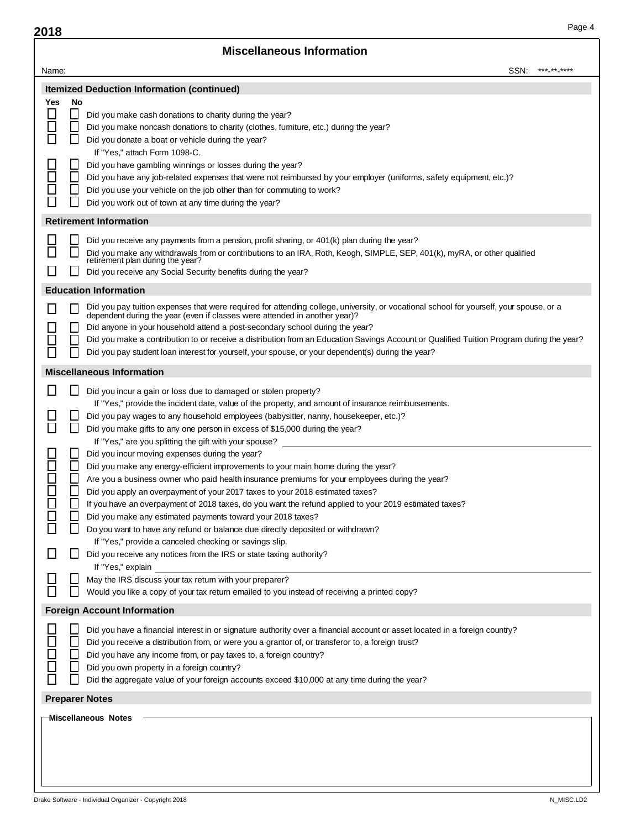| 2018                               |                                                   | Page 4                                                                                                                                                                                                                                                                                                                                                                                                                                                                                                                                                                                                                                                                                                                                                                                                                                                                                                                                                                                        |
|------------------------------------|---------------------------------------------------|-----------------------------------------------------------------------------------------------------------------------------------------------------------------------------------------------------------------------------------------------------------------------------------------------------------------------------------------------------------------------------------------------------------------------------------------------------------------------------------------------------------------------------------------------------------------------------------------------------------------------------------------------------------------------------------------------------------------------------------------------------------------------------------------------------------------------------------------------------------------------------------------------------------------------------------------------------------------------------------------------|
|                                    |                                                   | <b>Miscellaneous Information</b>                                                                                                                                                                                                                                                                                                                                                                                                                                                                                                                                                                                                                                                                                                                                                                                                                                                                                                                                                              |
| Name:                              |                                                   | SSN:<br>***_**_****                                                                                                                                                                                                                                                                                                                                                                                                                                                                                                                                                                                                                                                                                                                                                                                                                                                                                                                                                                           |
|                                    |                                                   | <b>Itemized Deduction Information (continued)</b>                                                                                                                                                                                                                                                                                                                                                                                                                                                                                                                                                                                                                                                                                                                                                                                                                                                                                                                                             |
| Yes<br>$\mathcal{L}_{\mathcal{A}}$ | <b>No</b><br>⊔<br>$\Box$<br>⊔<br>$\Box$<br>$\Box$ | Did you make cash donations to charity during the year?<br>Did you make noncash donations to charity (clothes, fumiture, etc.) during the year?<br>Did you donate a boat or vehicle during the year?<br>If "Yes," attach Form 1098-C.<br>Did you have gambling winnings or losses during the year?<br>Did you have any job-related expenses that were not reimbursed by your employer (uniforms, safety equipment, etc.)?<br>Did you use your vehicle on the job other than for commuting to work?<br>Did you work out of town at any time during the year?                                                                                                                                                                                                                                                                                                                                                                                                                                   |
|                                    |                                                   | <b>Retirement Information</b>                                                                                                                                                                                                                                                                                                                                                                                                                                                                                                                                                                                                                                                                                                                                                                                                                                                                                                                                                                 |
|                                    |                                                   | Did you receive any payments from a pension, profit sharing, or 401(k) plan during the year?<br>Did you make any withdrawals from or contributions to an IRA, Roth, Keogh, SIMPLE, SEP, 401(k), myRA, or other qualified<br>retirement plan during the year?<br>Did you receive any Social Security benefits during the year?                                                                                                                                                                                                                                                                                                                                                                                                                                                                                                                                                                                                                                                                 |
|                                    |                                                   | <b>Education Information</b>                                                                                                                                                                                                                                                                                                                                                                                                                                                                                                                                                                                                                                                                                                                                                                                                                                                                                                                                                                  |
|                                    | $\mathbf{L}$                                      | Did you pay tuition expenses that were required for attending college, university, or vocational school for yourself, your spouse, or a<br>dependent during the year (even if classes were attended in another year)?<br>Did anyone in your household attend a post-secondary school during the year?<br>Did you make a contribution to or receive a distribution from an Education Savings Account or Qualified Tuition Program during the year?<br>Did you pay student loan interest for yourself, your spouse, or your dependent(s) during the year?                                                                                                                                                                                                                                                                                                                                                                                                                                       |
|                                    |                                                   | <b>Miscellaneous Information</b>                                                                                                                                                                                                                                                                                                                                                                                                                                                                                                                                                                                                                                                                                                                                                                                                                                                                                                                                                              |
| ⊔<br>$\Box$                        | ⊔<br>L                                            | Did you incur a gain or loss due to damaged or stolen property?<br>If "Yes," provide the incident date, value of the property, and amount of insurance reimbursements.<br>Did you pay wages to any household employees (babysitter, nanny, housekeeper, etc.)?<br>Did you make gifts to any one person in excess of \$15,000 during the year?<br>If "Yes," are you splitting the gift with your spouse?<br>Did you incur moving expenses during the year?<br>Did you make any energy-efficient improvements to your main home during the year?<br>Are you a business owner who paid health insurance premiums for your employees during the year?<br>Did you apply an overpayment of your 2017 taxes to your 2018 estimated taxes?<br>If you have an overpayment of 2018 taxes, do you want the refund applied to your 2019 estimated taxes?<br>Did you make any estimated payments toward your 2018 taxes?<br>Do you want to have any refund or balance due directly deposited or withdrawn? |
|                                    |                                                   | If "Yes," provide a canceled checking or savings slip.                                                                                                                                                                                                                                                                                                                                                                                                                                                                                                                                                                                                                                                                                                                                                                                                                                                                                                                                        |
|                                    |                                                   | Did you receive any notices from the IRS or state taxing authority?<br>If "Yes," explain<br>May the IRS discuss your tax retum with your preparer?                                                                                                                                                                                                                                                                                                                                                                                                                                                                                                                                                                                                                                                                                                                                                                                                                                            |
|                                    |                                                   | Would you like a copy of your tax retum emailed to you instead of receiving a printed copy?                                                                                                                                                                                                                                                                                                                                                                                                                                                                                                                                                                                                                                                                                                                                                                                                                                                                                                   |
|                                    |                                                   | <b>Foreign Account Information</b>                                                                                                                                                                                                                                                                                                                                                                                                                                                                                                                                                                                                                                                                                                                                                                                                                                                                                                                                                            |
|                                    |                                                   | Did you have a financial interest in or signature authority over a financial account or asset located in a foreign country?<br>Did you receive a distribution from, or were you a grantor of, or transferor to, a foreign trust?<br>Did you have any income from, or pay taxes to, a foreign country?<br>Did you own property in a foreign country?<br>Did the aggregate value of your foreign accounts exceed \$10,000 at any time during the year?                                                                                                                                                                                                                                                                                                                                                                                                                                                                                                                                          |
|                                    |                                                   | <b>Preparer Notes</b>                                                                                                                                                                                                                                                                                                                                                                                                                                                                                                                                                                                                                                                                                                                                                                                                                                                                                                                                                                         |
|                                    |                                                   | Miscellaneous Notes <sup>-</sup>                                                                                                                                                                                                                                                                                                                                                                                                                                                                                                                                                                                                                                                                                                                                                                                                                                                                                                                                                              |

Page 4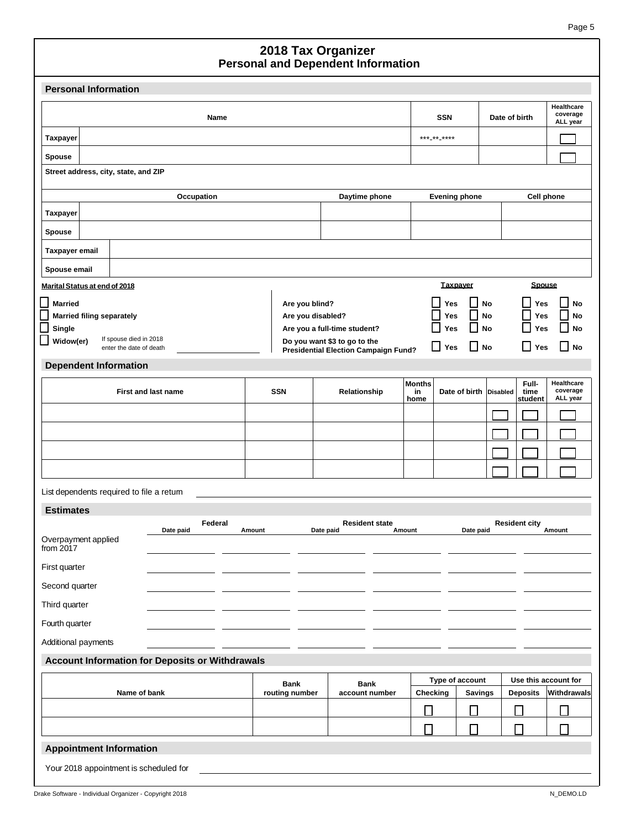#### **Personal and Dependent Information 2018 Tax Organizer**

|                                                        | <b>Personal Information</b>                       |                            |             |                   |           |                                                                      |                 |                            |                                             |                                    |                          |
|--------------------------------------------------------|---------------------------------------------------|----------------------------|-------------|-------------------|-----------|----------------------------------------------------------------------|-----------------|----------------------------|---------------------------------------------|------------------------------------|--------------------------|
|                                                        | Name                                              |                            |             |                   |           |                                                                      | <b>SSN</b>      |                            | Date of birth                               | Healthcare<br>coverage<br>ALL year |                          |
| <b>Taxpayer</b>                                        |                                                   |                            |             |                   |           |                                                                      | *** ** ****     |                            |                                             |                                    |                          |
| <b>Spouse</b>                                          |                                                   |                            |             |                   |           |                                                                      |                 |                            |                                             |                                    |                          |
|                                                        | Street address, city, state, and ZIP              |                            |             |                   |           |                                                                      |                 |                            |                                             |                                    |                          |
|                                                        |                                                   | Occupation                 |             |                   |           | Daytime phone                                                        |                 | <b>Evening phone</b>       |                                             | <b>Cell phone</b>                  |                          |
| <b>Taxpayer</b>                                        |                                                   |                            |             |                   |           |                                                                      |                 |                            |                                             |                                    |                          |
| <b>Spouse</b>                                          |                                                   |                            |             |                   |           |                                                                      |                 |                            |                                             |                                    |                          |
| <b>Taxpayer email</b>                                  |                                                   |                            |             |                   |           |                                                                      |                 |                            |                                             |                                    |                          |
| Spouse email                                           |                                                   |                            |             |                   |           |                                                                      |                 |                            |                                             |                                    |                          |
|                                                        | Marital Status at end of 2018                     |                            |             |                   |           |                                                                      |                 | <b>Taxpayer</b>            |                                             | <b>Spouse</b>                      |                          |
| <b>Married</b>                                         |                                                   |                            |             | Are you blind?    |           |                                                                      |                 | Yes                        | No                                          | Yes                                | <b>No</b>                |
| Single                                                 | <b>Married filing separately</b>                  |                            |             | Are you disabled? |           | Are you a full-time student?                                         |                 | Yes<br>$\mathbf{L}$<br>Yes | <b>No</b><br>$\overline{\phantom{a}}$<br>No | Yes<br>L<br>Yes                    | <b>No</b><br>No          |
| Widow(er)                                              | If spouse died in 2018<br>enter the date of death |                            |             |                   |           | Do you want \$3 to go to the<br>Presidential Election Campaign Fund? |                 | $\Box$<br>Yes              | $\Box$ No                                   | П<br>Yes                           | No                       |
|                                                        | <b>Dependent Information</b>                      |                            |             |                   |           |                                                                      |                 |                            |                                             |                                    |                          |
|                                                        |                                                   |                            |             |                   |           |                                                                      |                 | <b>Months</b>              |                                             | Full-                              | Healthcare               |
|                                                        |                                                   | <b>First and last name</b> |             | <b>SSN</b>        |           | Relationship                                                         | home            | Date of birth<br>in        | <b>Disabled</b>                             | time<br>student                    | coverage<br>ALL year     |
|                                                        |                                                   |                            |             |                   |           |                                                                      |                 |                            |                                             |                                    |                          |
|                                                        |                                                   |                            |             |                   |           |                                                                      |                 |                            |                                             |                                    |                          |
|                                                        |                                                   |                            |             |                   |           |                                                                      |                 |                            |                                             |                                    |                          |
|                                                        |                                                   |                            |             |                   |           |                                                                      |                 |                            |                                             |                                    |                          |
|                                                        | List dependents required to file a retum          |                            |             |                   |           |                                                                      |                 |                            |                                             |                                    |                          |
| <b>Estimates</b>                                       |                                                   | Federal                    |             |                   |           | <b>Resident state</b>                                                |                 |                            |                                             | <b>Resident city</b>               |                          |
| Overpayment applied<br>from $2017$                     |                                                   | Date paid                  | Amount      |                   | Date paid |                                                                      | Amount          |                            | Date paid                                   |                                    | Amount                   |
| First quarter                                          |                                                   |                            |             |                   |           |                                                                      |                 |                            |                                             |                                    |                          |
| Second quarter                                         |                                                   |                            |             |                   |           |                                                                      |                 |                            |                                             |                                    |                          |
| Third quarter                                          |                                                   |                            |             |                   |           |                                                                      |                 |                            |                                             |                                    |                          |
| Fourth quarter                                         |                                                   |                            |             |                   |           |                                                                      |                 |                            |                                             |                                    |                          |
|                                                        | Additional payments                               |                            |             |                   |           |                                                                      |                 |                            |                                             |                                    |                          |
| <b>Account Information for Deposits or Withdrawals</b> |                                                   |                            |             |                   |           |                                                                      |                 |                            |                                             |                                    |                          |
|                                                        |                                                   |                            | <b>Bank</b> |                   | Bank      |                                                                      | Type of account |                            | Use this account for                        |                                    |                          |
|                                                        | Name of bank                                      |                            |             | routing number    |           | account number                                                       |                 | Checking                   | <b>Savings</b>                              | <b>Deposits</b>                    | Withdrawals              |
|                                                        |                                                   |                            |             |                   |           |                                                                      |                 | $\Box$                     | $\Box$                                      | $\Box$                             | $\overline{\phantom{a}}$ |
|                                                        |                                                   |                            |             |                   |           |                                                                      |                 | П                          | П                                           | П                                  | n.                       |
|                                                        | <b>Appointment Information</b>                    |                            |             |                   |           |                                                                      |                 |                            |                                             |                                    |                          |
|                                                        | Your 2018 appointment is scheduled for            |                            |             |                   |           |                                                                      |                 |                            |                                             |                                    |                          |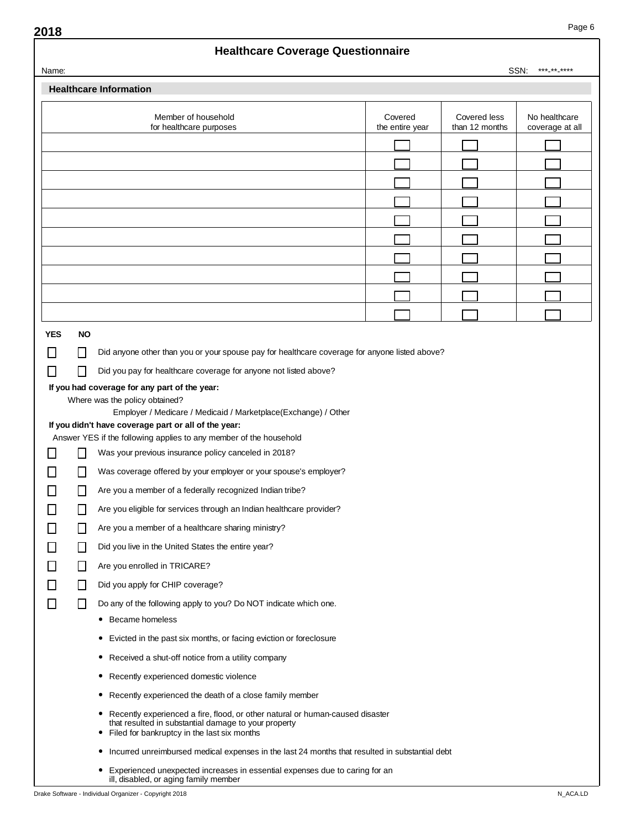#### **Healthcare Coverage Questionnaire**

| Name:        |              |                                                                                                                                                                                          |                            |                                | SSN:<br>***_**_****              |
|--------------|--------------|------------------------------------------------------------------------------------------------------------------------------------------------------------------------------------------|----------------------------|--------------------------------|----------------------------------|
|              |              | <b>Healthcare Information</b>                                                                                                                                                            |                            |                                |                                  |
|              |              | Member of household<br>for healthcare purposes                                                                                                                                           | Covered<br>the entire year | Covered less<br>than 12 months | No healthcare<br>coverage at all |
|              |              |                                                                                                                                                                                          |                            |                                |                                  |
|              |              |                                                                                                                                                                                          |                            |                                |                                  |
|              |              |                                                                                                                                                                                          |                            |                                |                                  |
|              |              |                                                                                                                                                                                          |                            |                                |                                  |
|              |              |                                                                                                                                                                                          |                            |                                |                                  |
|              |              |                                                                                                                                                                                          |                            |                                |                                  |
|              |              |                                                                                                                                                                                          |                            |                                |                                  |
|              |              |                                                                                                                                                                                          |                            |                                |                                  |
|              |              |                                                                                                                                                                                          |                            |                                |                                  |
|              |              |                                                                                                                                                                                          |                            |                                |                                  |
| <b>YES</b>   | <b>NO</b>    |                                                                                                                                                                                          |                            |                                |                                  |
|              | $\mathsf{L}$ | Did anyone other than you or your spouse pay for healthcare coverage for anyone listed above?                                                                                            |                            |                                |                                  |
| П            |              | Did you pay for healthcare coverage for anyone not listed above?                                                                                                                         |                            |                                |                                  |
|              |              | If you had coverage for any part of the year:                                                                                                                                            |                            |                                |                                  |
|              |              | Where was the policy obtained?                                                                                                                                                           |                            |                                |                                  |
|              |              | Employer / Medicare / Medicaid / Marketplace(Exchange) / Other<br>If you didn't have coverage part or all of the year:                                                                   |                            |                                |                                  |
|              |              | Answer YES if the following applies to any member of the household                                                                                                                       |                            |                                |                                  |
|              |              | Was your previous insurance policy canceled in 2018?                                                                                                                                     |                            |                                |                                  |
|              | $\mathsf{L}$ | Was coverage offered by your employer or your spouse's employer?                                                                                                                         |                            |                                |                                  |
|              | $\mathsf{L}$ | Are you a member of a federally recognized Indian tribe?                                                                                                                                 |                            |                                |                                  |
|              | $\mathbf{I}$ | Are you eligible for services through an Indian healthcare provider?                                                                                                                     |                            |                                |                                  |
| ⊔            | $\mathsf{L}$ | Are you a member of a healthcare sharing ministry?                                                                                                                                       |                            |                                |                                  |
|              | $\mathsf{L}$ | Did you live in the United States the entire year?                                                                                                                                       |                            |                                |                                  |
|              | $\Box$       | Are you enrolled in TRICARE?                                                                                                                                                             |                            |                                |                                  |
|              | $\Box$       | Did you apply for CHIP coverage?                                                                                                                                                         |                            |                                |                                  |
| $\mathsf{L}$ | □            | Do any of the following apply to you? Do NOT indicate which one.                                                                                                                         |                            |                                |                                  |
|              |              | • Became homeless                                                                                                                                                                        |                            |                                |                                  |
|              |              | • Evicted in the past six months, or facing eviction or foreclosure                                                                                                                      |                            |                                |                                  |
|              |              | • Received a shut-off notice from a utility company                                                                                                                                      |                            |                                |                                  |
|              |              | • Recently experienced domestic violence                                                                                                                                                 |                            |                                |                                  |
|              |              | • Recently experienced the death of a close family member                                                                                                                                |                            |                                |                                  |
|              |              | • Recently experienced a fire, flood, or other natural or human-caused disaster<br>that resulted in substantial damage to your property<br>• Filed for bankruptcy in the last six months |                            |                                |                                  |
|              |              | • Incurred unreimbursed medical expenses in the last 24 months that resulted in substantial debt                                                                                         |                            |                                |                                  |
|              |              | • Experienced unexpected increases in essential expenses due to caring for an<br>ill, disabled, or aging family member                                                                   |                            |                                |                                  |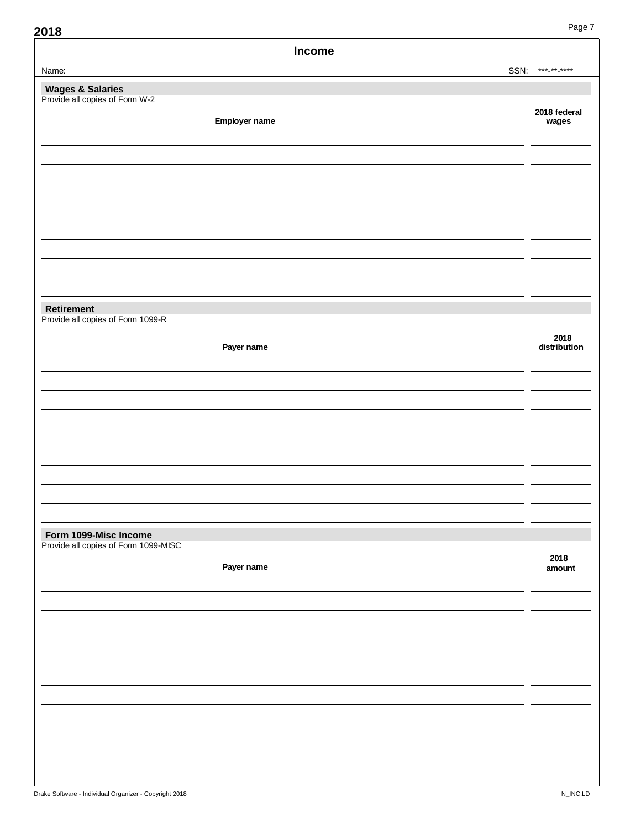| Income                                             |                      |
|----------------------------------------------------|----------------------|
| SSN:<br>Name:                                      | *** ** ****          |
|                                                    |                      |
| Wages & Salaries<br>Provide all copies of Form W-2 |                      |
|                                                    | 2018 federal         |
| Employer name                                      | wages                |
|                                                    |                      |
|                                                    |                      |
|                                                    |                      |
|                                                    |                      |
|                                                    |                      |
|                                                    |                      |
|                                                    |                      |
|                                                    |                      |
|                                                    |                      |
|                                                    |                      |
|                                                    |                      |
| Retirement                                         |                      |
| Provide all copies of Form 1099-R                  |                      |
|                                                    |                      |
| Payer name                                         | 2018<br>distribution |
|                                                    |                      |
|                                                    |                      |
|                                                    |                      |
|                                                    |                      |
|                                                    |                      |
|                                                    |                      |
|                                                    |                      |
|                                                    |                      |
|                                                    |                      |
|                                                    |                      |
|                                                    |                      |
|                                                    |                      |
| Form 1099-Misc Income                              |                      |
| Provide all copies of Form 1099-MISC               |                      |
| Payer name                                         | 2018<br>amount       |
|                                                    |                      |
|                                                    |                      |
|                                                    |                      |
|                                                    |                      |
|                                                    |                      |
|                                                    |                      |
|                                                    |                      |
|                                                    |                      |
|                                                    |                      |
|                                                    |                      |
|                                                    |                      |
|                                                    |                      |
|                                                    |                      |
|                                                    |                      |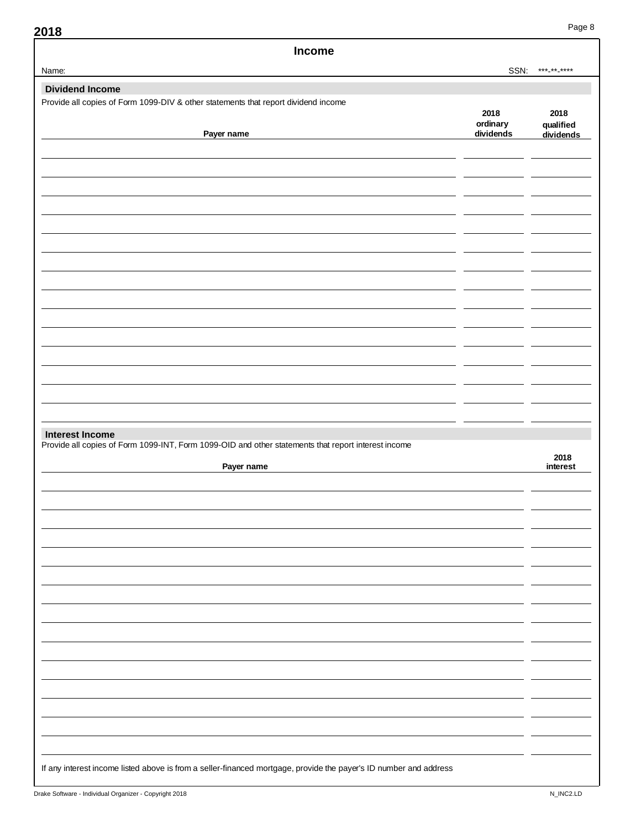| Income                                                                                                                        |                               |                                |
|-------------------------------------------------------------------------------------------------------------------------------|-------------------------------|--------------------------------|
| Name:                                                                                                                         | SSN:                          | *** ** ****                    |
| <b>Dividend Income</b>                                                                                                        |                               |                                |
| Provide all copies of Form 1099-DIV & other statements that report dividend income<br>Payer name                              | 2018<br>ordinary<br>dividends | 2018<br>qualified<br>dividends |
|                                                                                                                               |                               |                                |
|                                                                                                                               |                               |                                |
|                                                                                                                               |                               |                                |
|                                                                                                                               |                               |                                |
|                                                                                                                               |                               |                                |
|                                                                                                                               |                               |                                |
|                                                                                                                               |                               |                                |
|                                                                                                                               |                               |                                |
|                                                                                                                               |                               |                                |
|                                                                                                                               |                               |                                |
|                                                                                                                               |                               |                                |
|                                                                                                                               |                               |                                |
|                                                                                                                               |                               |                                |
|                                                                                                                               |                               |                                |
|                                                                                                                               |                               |                                |
| <b>Interest Income</b><br>Provide all copies of Form 1099-INT, Form 1099-OID and other statements that report interest income |                               |                                |
| Payer name                                                                                                                    |                               | 2018<br>interest               |
|                                                                                                                               |                               |                                |
|                                                                                                                               |                               |                                |
|                                                                                                                               |                               |                                |
|                                                                                                                               |                               |                                |
|                                                                                                                               |                               |                                |
|                                                                                                                               |                               |                                |
|                                                                                                                               |                               |                                |
|                                                                                                                               |                               |                                |
|                                                                                                                               |                               |                                |
|                                                                                                                               |                               |                                |
|                                                                                                                               |                               |                                |
|                                                                                                                               |                               |                                |
|                                                                                                                               |                               |                                |
|                                                                                                                               |                               |                                |
|                                                                                                                               |                               |                                |
| If any interest income listed above is from a seller-financed mortgage, provide the payer's ID number and address             |                               |                                |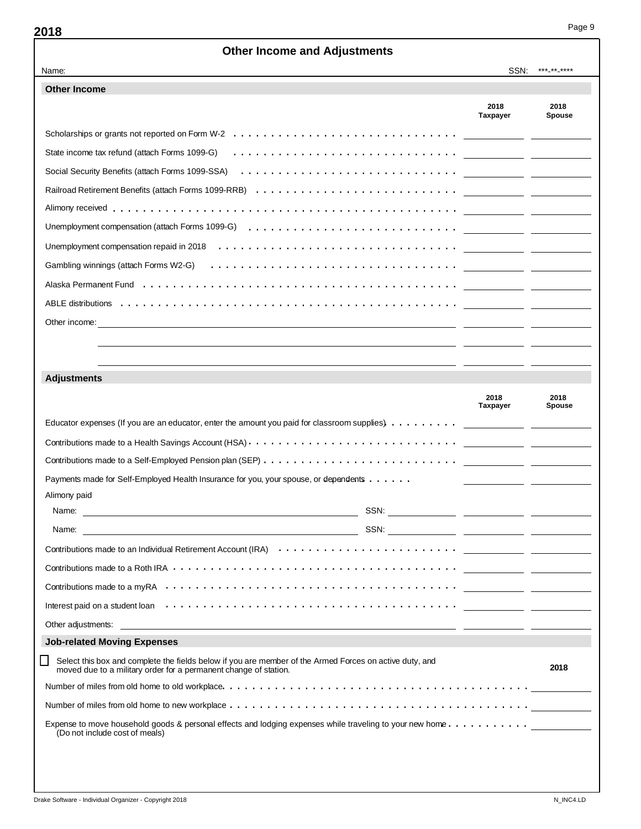### **Other Income and Adjustments** \*\*\*-\*\*-\*\*\*\* Name: SSN: **Other Income 2018 2018 Taxpayer Spouse** Scholarships or grants not reported on Form W-2  $\dots \dots \dots \dots \dots \dots \dots \dots \dots \dots \dots \dots \dots$ State income tax refund (attach Forms 1099-G) .............................. Social Security Benefits (attach Forms 1099-SSA) ............................. Railroad Retirement Benefits (attach Forms 1099-RRB) ........................... Alimony received . . . . .............................................. Unemployment compensation (attach Forms 1099-G) ............................ Unemployment compensation repaid in 2018 ................................ Gambling winnings (attach Forms W2-G) ................................. Alaska Permanent Fund .......................................... ABLE distributions ............................................. Other income: **Adjustments 2018 2018 Taxpayer** Educator expenses (If you are an educator, enter the amount you paid for classroom supplies) . . . . . . . . . Contributions made to a Health Savings Account (HSA)  $\cdots$ ............................. Contributions made to a Self-Employed Pension plan (SEP) .......................... Payments made for Self-Employed Health Insurance for you, your spouse, or dependents . . . . . . Alimony paid Name: SSN: Name: SSN: Contributions made to an Individual Retirement Account (IRA) .............................. Contributions made to a Roth IRA ...................................... Contributions made to a myRA ....................................... Interest paid on a student loan ....................................... Other adjustments: **Job-related Moving Expenses** Select this box and complete the fields below if you are member of the Armed Forces on active duty, and LΙ **2018** moved due to a military order for a permanent change of station. Number of miles from old home to old workplace ......................................... Number of miles from old home to new workplace ........................................ Expense to move household goods & personal effects and lodging expenses while traveling to your new home........... (Do not include cost of meals)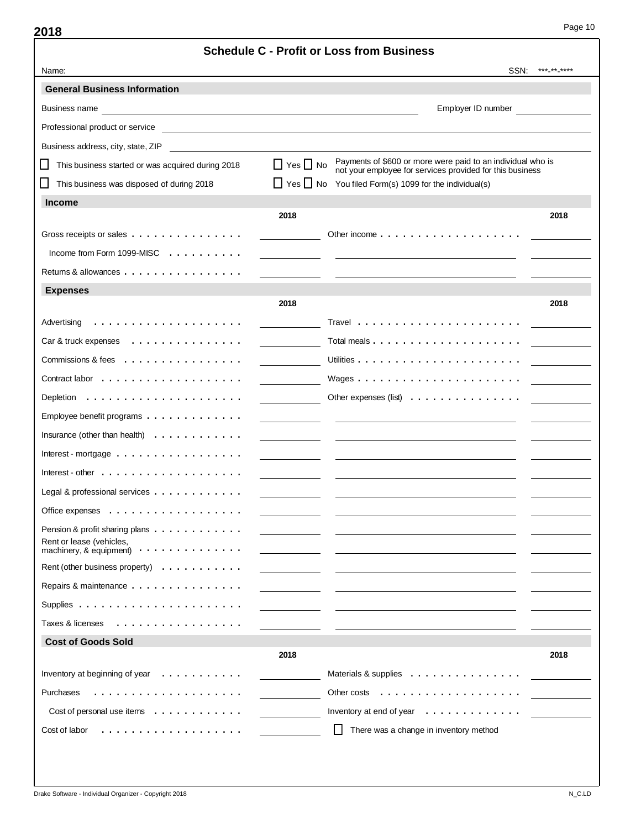|                                                                                                                 |                      | <b>Schedule C - Profit or Loss from Business</b>                                                                         |             |
|-----------------------------------------------------------------------------------------------------------------|----------------------|--------------------------------------------------------------------------------------------------------------------------|-------------|
| Name:                                                                                                           |                      | SSN:                                                                                                                     | ***_**_**** |
| <b>General Business Information</b>                                                                             |                      |                                                                                                                          |             |
|                                                                                                                 |                      | Employer ID number                                                                                                       |             |
| Professional product or service example and the contract of the contract of the contract of the contract of the |                      |                                                                                                                          |             |
| Business address, city, state, ZIP                                                                              |                      |                                                                                                                          |             |
| l I<br>This business started or was acquired during 2018                                                        | $\Box$ Yes $\Box$ No | Payments of \$600 or more were paid to an individual who is<br>not your employee for services provided for this business |             |
| This business was disposed of during 2018<br>l I                                                                |                      | $\Box$ Yes $\Box$ No You filed Form(s) 1099 for the individual(s)                                                        |             |
| <b>Income</b>                                                                                                   |                      |                                                                                                                          |             |
|                                                                                                                 | 2018                 |                                                                                                                          | 2018        |
| Gross receipts or sales                                                                                         |                      | Other income $\ldots$ , $\ldots$ , $\ldots$ , $\ldots$ , $\ldots$ , $\ldots$                                             |             |
| Income from Form 1099-MISC $\ldots$ ,                                                                           |                      |                                                                                                                          |             |
| Returns & allowances                                                                                            |                      |                                                                                                                          |             |
| <b>Expenses</b>                                                                                                 |                      |                                                                                                                          |             |
|                                                                                                                 | 2018                 |                                                                                                                          | 2018        |
| Advertising                                                                                                     |                      |                                                                                                                          |             |
| Car & truck expenses                                                                                            |                      |                                                                                                                          |             |
| Commissions & fees $\ldots$ ,                                                                                   |                      |                                                                                                                          |             |
|                                                                                                                 |                      | Wages $\ldots \ldots \ldots \ldots \ldots \ldots \ldots$                                                                 |             |
|                                                                                                                 |                      |                                                                                                                          |             |
| Employee benefit programs $\ldots$ ,                                                                            |                      |                                                                                                                          |             |
| Insurance (other than health) $\ldots \ldots \ldots$                                                            |                      |                                                                                                                          |             |
| Interest - mortgage $\ldots$                                                                                    |                      |                                                                                                                          |             |
| Interest - other $\dots$ , $\dots$ , $\dots$ , $\dots$ , $\dots$ , $\dots$ , $\dots$ , $\dots$                  |                      |                                                                                                                          |             |
| Legal & professional services $\dots \dots \dots \dots$                                                         |                      |                                                                                                                          |             |
| Office expenses                                                                                                 |                      |                                                                                                                          |             |
| Pension & profit sharing plans $\ldots$                                                                         |                      |                                                                                                                          |             |
| Rent or lease (vehicles,<br>machinery, & equipment) $\cdots$                                                    |                      |                                                                                                                          |             |
| Rent (other business property) $\ldots \ldots \ldots$                                                           |                      |                                                                                                                          |             |
| Repairs & maintenance                                                                                           |                      |                                                                                                                          |             |
|                                                                                                                 |                      |                                                                                                                          |             |
| Taxes & licenses<br>.                                                                                           |                      |                                                                                                                          |             |
| <b>Cost of Goods Sold</b>                                                                                       |                      |                                                                                                                          |             |
|                                                                                                                 | 2018                 |                                                                                                                          | 2018        |
| Inventory at beginning of year $\ldots \ldots \ldots$                                                           |                      | Materials & supplies                                                                                                     |             |
| Purchases                                                                                                       |                      | Other costs $\dots \dots \dots \dots \dots \dots$                                                                        |             |
| Cost of personal use items                                                                                      |                      | Inventory at end of year $\ldots \ldots \ldots \ldots$                                                                   |             |
| Cost of labor                                                                                                   |                      | ΙI<br>There was a change in inventory method                                                                             |             |
|                                                                                                                 |                      |                                                                                                                          |             |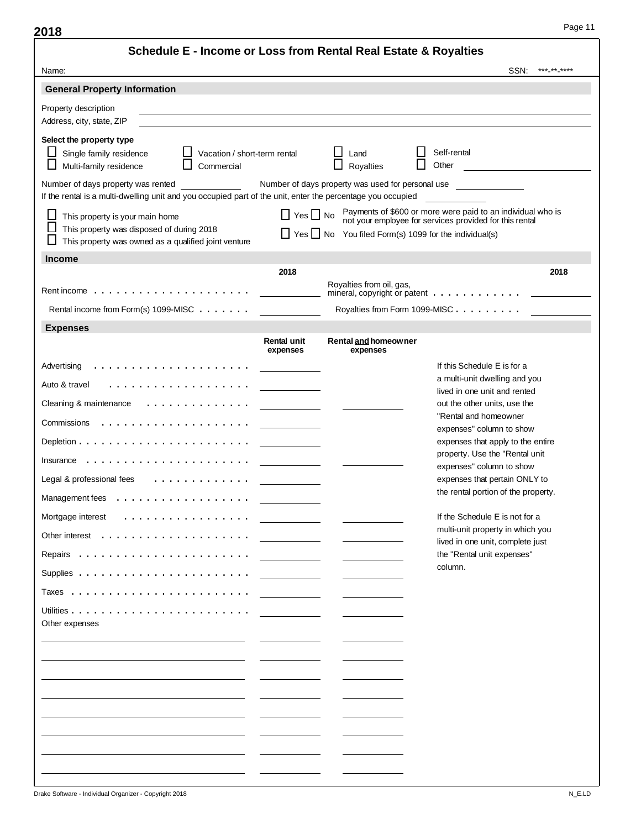|                                                                                                                                                   | Schedule E - Income or Loss from Rental Real Estate & Royalties                                                                                                                                                     |
|---------------------------------------------------------------------------------------------------------------------------------------------------|---------------------------------------------------------------------------------------------------------------------------------------------------------------------------------------------------------------------|
| Name:                                                                                                                                             | SSN:<br>***_**_****                                                                                                                                                                                                 |
| <b>General Property Information</b>                                                                                                               |                                                                                                                                                                                                                     |
| Property description<br>Address, city, state, ZIP                                                                                                 |                                                                                                                                                                                                                     |
| Select the property type<br>Single family residence<br>$\Box$ Vacation / short-term rental<br>Multi-family residence<br>Commercial                | Self-rental<br>Land<br>Other<br>Royalties                                                                                                                                                                           |
| Number of days property was rented<br>If the rental is a multi-dwelling unit and you occupied part of the unit, enter the percentage you occupied | Number of days property was used for personal use                                                                                                                                                                   |
| This property is your main home<br>This property was disposed of during 2018<br>This property was owned as a qualified joint venture              | Payments of \$600 or more were paid to an individual who is<br>not your employee for services provided for this rental<br>$\Box$ Yes $\Box$ No<br>$\Box$ Yes $\Box$ No You filed Form(s) 1099 for the individual(s) |
| <b>Income</b>                                                                                                                                     |                                                                                                                                                                                                                     |
| 2018                                                                                                                                              | 2018<br>Royalties from oil, gas,                                                                                                                                                                                    |
| Rental income from Form(s) 1099-MISC                                                                                                              | Royalties from Form 1099-MISC                                                                                                                                                                                       |
| <b>Expenses</b>                                                                                                                                   |                                                                                                                                                                                                                     |
| Rental unit<br>expenses                                                                                                                           | Rental and homeowner<br>expenses                                                                                                                                                                                    |
|                                                                                                                                                   | If this Schedule E is for a                                                                                                                                                                                         |
| Auto & travel<br>.                                                                                                                                | a multi-unit dwelling and you<br>lived in one unit and rented                                                                                                                                                       |
| Cleaning & maintenance $\ldots \ldots \ldots \ldots$                                                                                              | out the other units, use the                                                                                                                                                                                        |
|                                                                                                                                                   | "Rental and homeowner<br>expenses" column to show                                                                                                                                                                   |
|                                                                                                                                                   | expenses that apply to the entire                                                                                                                                                                                   |
| Insurance $\dots\dots\dots\dots\dots$                                                                                                             | property. Use the "Rental unit<br>expenses" column to show                                                                                                                                                          |
| Legal & professional fees $\cdots \cdots \cdots$                                                                                                  | expenses that pertain ONLY to                                                                                                                                                                                       |
| Management fees                                                                                                                                   | the rental portion of the property.                                                                                                                                                                                 |
| Mortgage interest<br>.                                                                                                                            | If the Schedule E is not for a                                                                                                                                                                                      |
|                                                                                                                                                   | multi-unit property in which you                                                                                                                                                                                    |
|                                                                                                                                                   | lived in one unit, complete just<br>the "Rental unit expenses"                                                                                                                                                      |
|                                                                                                                                                   | column.                                                                                                                                                                                                             |
|                                                                                                                                                   |                                                                                                                                                                                                                     |
|                                                                                                                                                   |                                                                                                                                                                                                                     |
| Other expenses                                                                                                                                    |                                                                                                                                                                                                                     |
|                                                                                                                                                   |                                                                                                                                                                                                                     |
|                                                                                                                                                   |                                                                                                                                                                                                                     |
|                                                                                                                                                   |                                                                                                                                                                                                                     |
|                                                                                                                                                   |                                                                                                                                                                                                                     |
|                                                                                                                                                   |                                                                                                                                                                                                                     |
|                                                                                                                                                   |                                                                                                                                                                                                                     |
|                                                                                                                                                   |                                                                                                                                                                                                                     |
|                                                                                                                                                   |                                                                                                                                                                                                                     |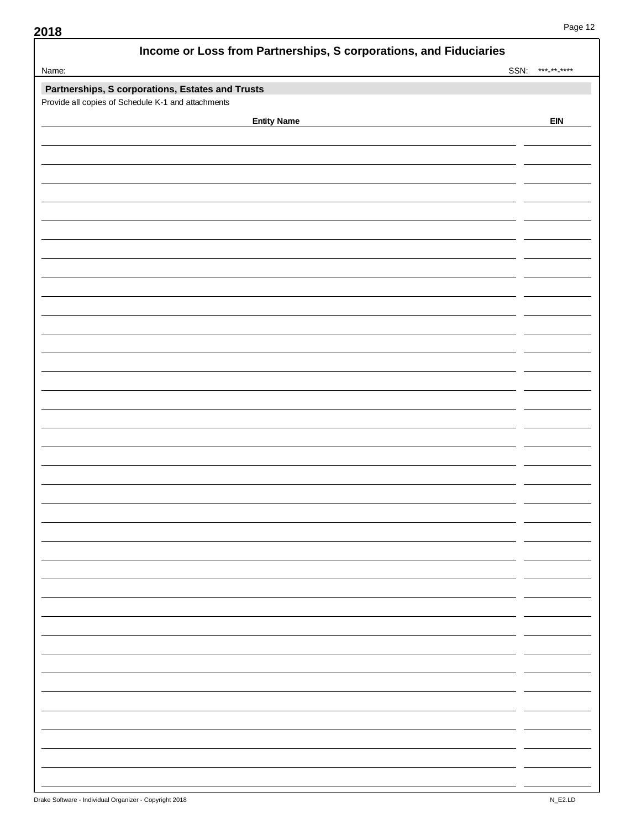| Income or Loss from Partnerships, S corporations, and Fiduciaries |                     |
|-------------------------------------------------------------------|---------------------|
| Name:                                                             | SSN:<br>*** **_**** |
| Partnerships, S corporations, Estates and Trusts                  |                     |
| Provide all copies of Schedule K-1 and attachments                |                     |
|                                                                   |                     |
| <b>Entity Name</b>                                                | <b>EIN</b>          |
|                                                                   |                     |
|                                                                   |                     |
|                                                                   |                     |
|                                                                   |                     |
|                                                                   |                     |
|                                                                   |                     |
|                                                                   |                     |
|                                                                   |                     |
|                                                                   |                     |
|                                                                   |                     |
|                                                                   |                     |
|                                                                   |                     |
|                                                                   |                     |
|                                                                   |                     |
|                                                                   |                     |
|                                                                   |                     |
|                                                                   |                     |
|                                                                   |                     |
|                                                                   |                     |
|                                                                   |                     |
|                                                                   |                     |
|                                                                   |                     |
|                                                                   |                     |
|                                                                   |                     |
|                                                                   |                     |
|                                                                   |                     |
|                                                                   |                     |
|                                                                   |                     |
|                                                                   |                     |
|                                                                   |                     |
|                                                                   |                     |
|                                                                   |                     |
|                                                                   |                     |
|                                                                   |                     |
|                                                                   |                     |
|                                                                   |                     |
|                                                                   |                     |
|                                                                   |                     |
|                                                                   |                     |
|                                                                   |                     |
|                                                                   |                     |
|                                                                   |                     |
|                                                                   |                     |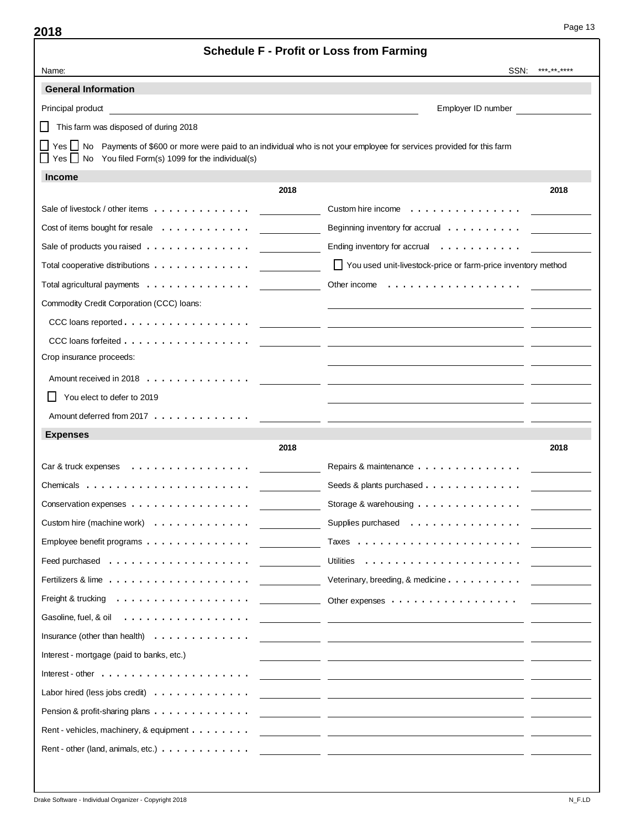| <b>Schedule F - Profit or Loss from Farming</b>                                                                                                                                                   |                                                                                                                      |  |  |
|---------------------------------------------------------------------------------------------------------------------------------------------------------------------------------------------------|----------------------------------------------------------------------------------------------------------------------|--|--|
| Name:                                                                                                                                                                                             | ***_**_****<br>SSN:                                                                                                  |  |  |
| <b>General Information</b>                                                                                                                                                                        |                                                                                                                      |  |  |
| Principal product<br><u> 1980 - Johann Stein, fransk politik (f. 1980)</u>                                                                                                                        | Employer ID number                                                                                                   |  |  |
| $\mathsf{L}$<br>This farm was disposed of during 2018                                                                                                                                             |                                                                                                                      |  |  |
| □ Yes □ No Payments of \$600 or more were paid to an individual who is not your employee for services provided for this farm<br>$\Box$ Yes $\Box$ No You filed Form(s) 1099 for the individual(s) |                                                                                                                      |  |  |
| <b>Income</b>                                                                                                                                                                                     |                                                                                                                      |  |  |
| 2018                                                                                                                                                                                              | 2018                                                                                                                 |  |  |
| Sale of livestock / other items                                                                                                                                                                   | Custom hire income                                                                                                   |  |  |
| Cost of items bought for resale $\ldots \ldots \ldots \ldots$                                                                                                                                     | Beginning inventory for accrual $\ldots \ldots \ldots$                                                               |  |  |
| Sale of products you raised                                                                                                                                                                       | Ending inventory for accrual                                                                                         |  |  |
| Total cooperative distributions                                                                                                                                                                   | □ You used unit-livestock-price or farm-price inventory method                                                       |  |  |
| Total agricultural payments                                                                                                                                                                       | Other income $\dots \dots \dots \dots \dots \dots$                                                                   |  |  |
| Commodity Credit Corporation (CCC) loans:                                                                                                                                                         |                                                                                                                      |  |  |
|                                                                                                                                                                                                   |                                                                                                                      |  |  |
| CCC loans forfeited                                                                                                                                                                               |                                                                                                                      |  |  |
| Crop insurance proceeds:                                                                                                                                                                          |                                                                                                                      |  |  |
|                                                                                                                                                                                                   |                                                                                                                      |  |  |
| You elect to defer to 2019                                                                                                                                                                        |                                                                                                                      |  |  |
| Amount deferred from 2017                                                                                                                                                                         |                                                                                                                      |  |  |
| <b>Expenses</b>                                                                                                                                                                                   |                                                                                                                      |  |  |
| 2018                                                                                                                                                                                              | 2018                                                                                                                 |  |  |
| Car & truck expenses $\ldots \ldots \ldots \ldots \ldots$                                                                                                                                         | Repairs & maintenance                                                                                                |  |  |
|                                                                                                                                                                                                   | Seeds & plants purchased                                                                                             |  |  |
| Conservation expenses                                                                                                                                                                             | Storage & warehousing                                                                                                |  |  |
| Custom hire (machine work)                                                                                                                                                                        | Supplies purchased                                                                                                   |  |  |
| Employee benefit programs                                                                                                                                                                         |                                                                                                                      |  |  |
|                                                                                                                                                                                                   |                                                                                                                      |  |  |
|                                                                                                                                                                                                   | Veterinary, breeding, & medicine                                                                                     |  |  |
| Freight & trucking                                                                                                                                                                                | Other expenses $\cdots$ , $\cdots$ , $\cdots$ , $\cdots$ , $\cdots$                                                  |  |  |
| Gasoline, fuel, & oil                                                                                                                                                                             | <u> 1980 - Johann Stein, marwolaethau a bhann an t-Amhair ann an t-Amhair an t-Amhair an t-Amhair an t-Amhair an</u> |  |  |
| Insurance (other than health) $\ldots \ldots \ldots \ldots$                                                                                                                                       |                                                                                                                      |  |  |
| Interest - mortgage (paid to banks, etc.)                                                                                                                                                         |                                                                                                                      |  |  |
| Interest - other $\dots \dots \dots \dots \dots \dots$                                                                                                                                            |                                                                                                                      |  |  |
| Labor hired (less jobs credit) $\ldots \ldots \ldots \ldots$                                                                                                                                      | <u> 1999 - Johann Stein, mars an deutscher Stein und der Stein und der Stein und der Stein und der Stein und der</u> |  |  |
| Pension & profit-sharing plans                                                                                                                                                                    |                                                                                                                      |  |  |
| Rent - vehicles, machinery, & equipment                                                                                                                                                           |                                                                                                                      |  |  |
| Rent - other (land, animals, etc.)                                                                                                                                                                |                                                                                                                      |  |  |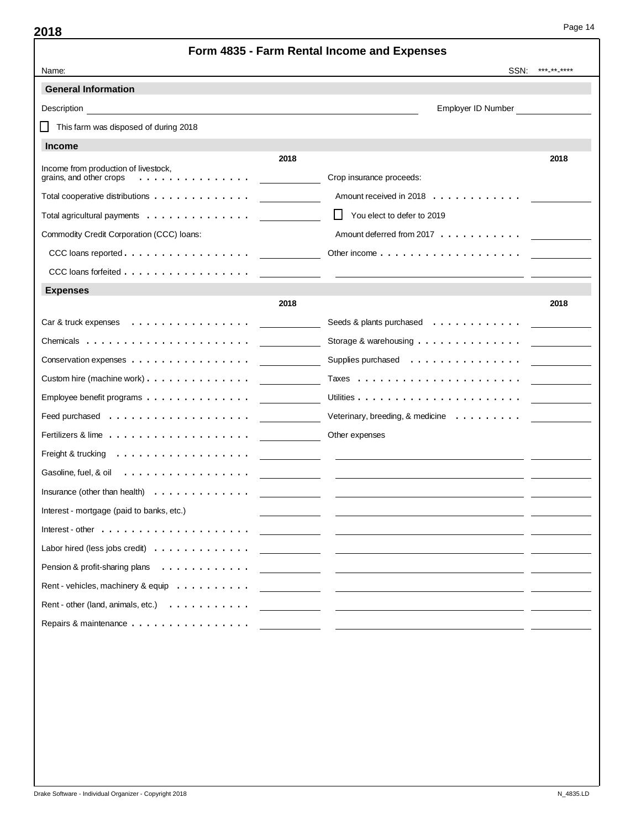| Form 4835 - Farm Rental Income and Expenses                    |                                                                                         |  |  |
|----------------------------------------------------------------|-----------------------------------------------------------------------------------------|--|--|
| Name:                                                          | SSN:<br>***_**_****                                                                     |  |  |
| <b>General Information</b>                                     |                                                                                         |  |  |
| Description                                                    | Employer ID Number                                                                      |  |  |
| This farm was disposed of during 2018                          |                                                                                         |  |  |
| <b>Income</b>                                                  |                                                                                         |  |  |
| Income from production of livestock,                           | 2018<br>2018                                                                            |  |  |
| grains, and other crops<br>.                                   | Crop insurance proceeds:                                                                |  |  |
| Total cooperative distributions                                | Amount received in 2018                                                                 |  |  |
| Total agricultural payments $\ldots \ldots \ldots \ldots$      | LΙ<br>You elect to defer to 2019                                                        |  |  |
| Commodity Credit Corporation (CCC) loans:                      | Amount deferred from 2017                                                               |  |  |
| CCC loans reported $\ldots$                                    | Other income $\ldots$ , $\ldots$ , $\ldots$ , $\ldots$ , $\ldots$ , $\ldots$ , $\ldots$ |  |  |
| CCC loans forfeited                                            |                                                                                         |  |  |
| <b>Expenses</b>                                                |                                                                                         |  |  |
|                                                                | 2018<br>2018                                                                            |  |  |
| Car & truck expenses $\ldots \ldots \ldots \ldots \ldots$      | Seeds & plants purchased $\ldots$ ,                                                     |  |  |
|                                                                | Storage & warehousing $\ldots \ldots \ldots \ldots$                                     |  |  |
| Conservation expenses                                          | Supplies purchased                                                                      |  |  |
| Custom hire (machine work)                                     |                                                                                         |  |  |
| Employee benefit programs $\ldots \ldots \ldots \ldots \ldots$ |                                                                                         |  |  |
|                                                                | Veterinary, breeding, & medicine $\ldots \ldots \ldots$                                 |  |  |
|                                                                | Other expenses                                                                          |  |  |
| Freight & trucking                                             |                                                                                         |  |  |
| Gasoline, fuel, & oil                                          |                                                                                         |  |  |
| Insurance (other than health) $\ldots \ldots \ldots \ldots$    |                                                                                         |  |  |
| Interest - mortgage (paid to banks, etc.)                      |                                                                                         |  |  |
| Interest - other $\dots \dots \dots \dots \dots \dots$         |                                                                                         |  |  |
| Labor hired (less jobs credit)                                 |                                                                                         |  |  |
| Pension & profit-sharing plans                                 |                                                                                         |  |  |
| Rent - vehicles, machinery & equip                             |                                                                                         |  |  |
| Rent - other (land, animals, etc.)                             |                                                                                         |  |  |
| Repairs & maintenance                                          |                                                                                         |  |  |
|                                                                |                                                                                         |  |  |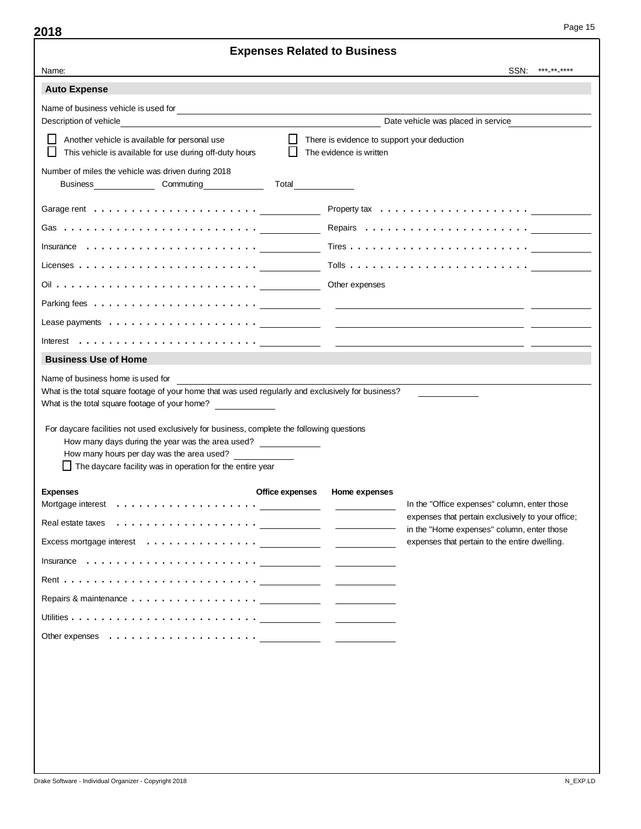|                                                                                                                                                                                                                                                   | <b>Expenses Related to Business</b>                                                               |  |  |  |
|---------------------------------------------------------------------------------------------------------------------------------------------------------------------------------------------------------------------------------------------------|---------------------------------------------------------------------------------------------------|--|--|--|
| Name:                                                                                                                                                                                                                                             | SSN:<br>***_**_****                                                                               |  |  |  |
| <b>Auto Expense</b>                                                                                                                                                                                                                               |                                                                                                   |  |  |  |
| Description of vehicle                                                                                                                                                                                                                            | Date vehicle was placed in service                                                                |  |  |  |
| Another vehicle is available for personal use<br>This vehicle is available for use during off-duty hours                                                                                                                                          | $\Box$ There is evidence to support your deduction<br>The evidence is written                     |  |  |  |
| Number of miles the vehicle was driven during 2018<br>Business Commuting Total                                                                                                                                                                    |                                                                                                   |  |  |  |
|                                                                                                                                                                                                                                                   |                                                                                                   |  |  |  |
|                                                                                                                                                                                                                                                   |                                                                                                   |  |  |  |
| Insurance $\ldots \ldots \ldots \ldots \ldots \ldots \ldots$                                                                                                                                                                                      |                                                                                                   |  |  |  |
| Licenses $\ldots \ldots \ldots \ldots \ldots \ldots \ldots \ldots$                                                                                                                                                                                |                                                                                                   |  |  |  |
|                                                                                                                                                                                                                                                   | Other expenses                                                                                    |  |  |  |
|                                                                                                                                                                                                                                                   | <u> 1989 - Andrea Stadt Britain, amerikansk politik (</u>                                         |  |  |  |
| Lease payments $\ldots \ldots \ldots \ldots \ldots$                                                                                                                                                                                               |                                                                                                   |  |  |  |
| Interest $\ldots \ldots \ldots \ldots \ldots$                                                                                                                                                                                                     |                                                                                                   |  |  |  |
| <b>Business Use of Home</b>                                                                                                                                                                                                                       |                                                                                                   |  |  |  |
|                                                                                                                                                                                                                                                   |                                                                                                   |  |  |  |
| For daycare facilities not used exclusively for business, complete the following questions<br>How many days during the year was the area used?<br>How many hours per day was the area used?                                                       |                                                                                                   |  |  |  |
| The daycare facility was in operation for the entire year                                                                                                                                                                                         |                                                                                                   |  |  |  |
| Office expenses                                                                                                                                                                                                                                   | Home expenses                                                                                     |  |  |  |
|                                                                                                                                                                                                                                                   | In the "Office expenses" column, enter those<br>expenses that pertain exclusively to your office; |  |  |  |
|                                                                                                                                                                                                                                                   | in the "Home expenses" column, enter those                                                        |  |  |  |
|                                                                                                                                                                                                                                                   | expenses that pertain to the entire dwelling.                                                     |  |  |  |
|                                                                                                                                                                                                                                                   |                                                                                                   |  |  |  |
|                                                                                                                                                                                                                                                   |                                                                                                   |  |  |  |
|                                                                                                                                                                                                                                                   |                                                                                                   |  |  |  |
|                                                                                                                                                                                                                                                   |                                                                                                   |  |  |  |
|                                                                                                                                                                                                                                                   |                                                                                                   |  |  |  |
|                                                                                                                                                                                                                                                   |                                                                                                   |  |  |  |
|                                                                                                                                                                                                                                                   |                                                                                                   |  |  |  |
|                                                                                                                                                                                                                                                   |                                                                                                   |  |  |  |
| <b>Expenses</b><br>Real estate taxes \contact \contact \contact \contact \contact \contact \contact \contact \contact \contact \contact \contact \contact \contact \contact \contact \contact \contact \contact \contact \contact \contact \conta |                                                                                                   |  |  |  |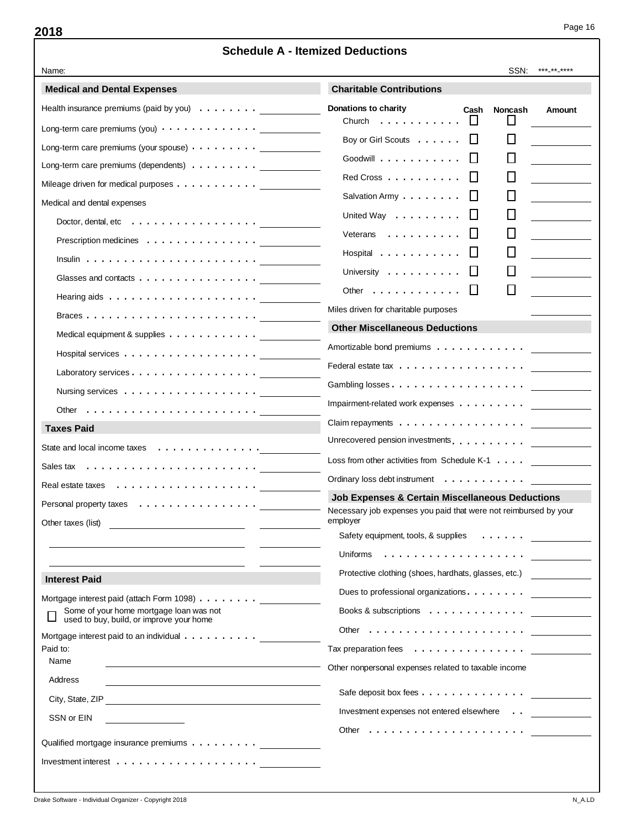| <b>Schedule A - Itemized Deductions</b>                                             |                                                                              |  |  |
|-------------------------------------------------------------------------------------|------------------------------------------------------------------------------|--|--|
| Name:                                                                               | SSN:<br>***_**_****                                                          |  |  |
| <b>Medical and Dental Expenses</b>                                                  | <b>Charitable Contributions</b>                                              |  |  |
| Health insurance premiums (paid by you) $\dots \dots$                               | Donations to charity<br>Cash<br><b>Noncash</b><br><b>Amount</b>              |  |  |
| Long-term care premiums (you) $\cdots$ $\cdots$ $\cdots$ $\cdots$ $\cdots$          | $\mathsf{L}$<br>Church $\ldots$ , $\ldots$                                   |  |  |
|                                                                                     | $\mathsf{L}$<br>Boy or Girl Scouts<br>$\mathbf{L}$                           |  |  |
| Long-term care premiums (dependents)                                                | Goodwill<br>$\mathbf{I}$                                                     |  |  |
| Mileage driven for medical purposes                                                 | Red Cross<br>$\mathbf{L}$                                                    |  |  |
| Medical and dental expenses                                                         | Salvation Army<br>$\mathbf{L}$                                               |  |  |
| Doctor, dental, etc $\dots \dots \dots \dots \dots \dots$                           | United Way<br>$\mathbf{L}$                                                   |  |  |
| Prescription medicines                                                              | Veterans                                                                     |  |  |
|                                                                                     | Hospital<br>$\mathbf{L}$                                                     |  |  |
| Glasses and contacts                                                                | University<br>$\mathbf{L}$                                                   |  |  |
| Hearing aids $\ldots \ldots \ldots \ldots \ldots \ldots$                            | Other $\ldots$ , $\ldots$ , $\ldots$<br>$\mathbf{L}$                         |  |  |
|                                                                                     | Miles driven for charitable purposes                                         |  |  |
| Medical equipment & supplies                                                        | <b>Other Miscellaneous Deductions</b>                                        |  |  |
|                                                                                     | Amortizable bond premiums                                                    |  |  |
| Laboratory services                                                                 | Federal estate tax                                                           |  |  |
|                                                                                     | Gambling losses                                                              |  |  |
| Other $\ldots \ldots \ldots \ldots \ldots \ldots \ldots$                            | Impairment-related work expenses                                             |  |  |
| <b>Taxes Paid</b>                                                                   | Claim repayments $\dots \dots \dots \dots \dots$                             |  |  |
| State and local income taxes                                                        | Unrecovered pension investments.                                             |  |  |
|                                                                                     | Loss from other activities from Schedule K-1                                 |  |  |
|                                                                                     | Ordinary loss debt instrument                                                |  |  |
| Personal property taxes $\ldots \ldots \ldots \ldots \ldots$                        | <b>Job Expenses &amp; Certain Miscellaneous Deductions</b>                   |  |  |
| Other taxes (list)                                                                  | Necessary job expenses you paid that were not reimbursed by your<br>employer |  |  |
|                                                                                     | Safety equipment, tools, & supplies                                          |  |  |
|                                                                                     | Uniforms $\ldots \ldots \ldots \ldots \ldots \ldots$                         |  |  |
| <b>Interest Paid</b>                                                                | Protective clothing (shoes, hardhats, glasses, etc.)                         |  |  |
| Mortgage interest paid (attach Form 1098)                                           | Dues to professional organizations.                                          |  |  |
| Some of your home mortgage loan was not<br>used to buy, build, or improve your home | Books & subscriptions                                                        |  |  |
| Mortgage interest paid to an individual                                             | Other $\dots\dots\dots\dots\dots\dots\dots\dots$                             |  |  |
| Paid to:                                                                            | Tax preparation fees $\ldots \ldots \ldots \ldots \ldots$                    |  |  |
| Name                                                                                | Other nonpersonal expenses related to taxable income                         |  |  |
| Address                                                                             |                                                                              |  |  |
| City, State, ZIP                                                                    |                                                                              |  |  |
| SSN or EIN                                                                          | Investment expenses not entered elsewhere                                    |  |  |
| Qualified mortgage insurance premiums _______________                               | Other $\dots \dots \dots \dots \dots \dots \dots$                            |  |  |
| Investment interest $\ldots \ldots \ldots \ldots \ldots \ldots$                     |                                                                              |  |  |
|                                                                                     |                                                                              |  |  |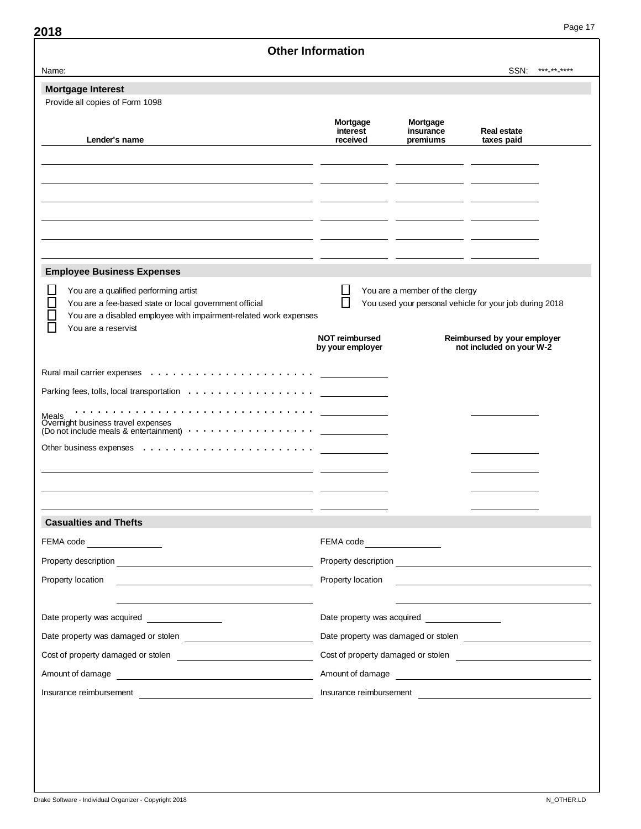| Name:<br><b>Mortgage Interest</b><br>Provide all copies of Form 1098<br>Mortgage<br>interest<br>Lender's name<br>received<br><b>Employee Business Expenses</b><br>You are a qualified performing artist<br>You are a fee-based state or local government official<br>You are a disabled employee with impairment-related work expenses<br>You are a reservist<br><b>NOT reimbursed</b><br>by your employer | Mortgage<br>insurance<br>premiums<br>You are a member of the clergy<br>You used your personal vehicle for your job during 2018 | SSN:<br>*** ** ****<br><b>Real estate</b><br>taxes paid    |
|------------------------------------------------------------------------------------------------------------------------------------------------------------------------------------------------------------------------------------------------------------------------------------------------------------------------------------------------------------------------------------------------------------|--------------------------------------------------------------------------------------------------------------------------------|------------------------------------------------------------|
|                                                                                                                                                                                                                                                                                                                                                                                                            |                                                                                                                                |                                                            |
|                                                                                                                                                                                                                                                                                                                                                                                                            |                                                                                                                                |                                                            |
|                                                                                                                                                                                                                                                                                                                                                                                                            |                                                                                                                                |                                                            |
|                                                                                                                                                                                                                                                                                                                                                                                                            |                                                                                                                                |                                                            |
|                                                                                                                                                                                                                                                                                                                                                                                                            |                                                                                                                                |                                                            |
|                                                                                                                                                                                                                                                                                                                                                                                                            |                                                                                                                                |                                                            |
|                                                                                                                                                                                                                                                                                                                                                                                                            |                                                                                                                                |                                                            |
|                                                                                                                                                                                                                                                                                                                                                                                                            |                                                                                                                                |                                                            |
|                                                                                                                                                                                                                                                                                                                                                                                                            |                                                                                                                                |                                                            |
|                                                                                                                                                                                                                                                                                                                                                                                                            |                                                                                                                                |                                                            |
|                                                                                                                                                                                                                                                                                                                                                                                                            |                                                                                                                                |                                                            |
|                                                                                                                                                                                                                                                                                                                                                                                                            |                                                                                                                                |                                                            |
|                                                                                                                                                                                                                                                                                                                                                                                                            |                                                                                                                                |                                                            |
|                                                                                                                                                                                                                                                                                                                                                                                                            |                                                                                                                                | Reimbursed by your employer                                |
|                                                                                                                                                                                                                                                                                                                                                                                                            |                                                                                                                                | not included on your W-2                                   |
|                                                                                                                                                                                                                                                                                                                                                                                                            |                                                                                                                                |                                                            |
| Parking fees, tolls, local transportation                                                                                                                                                                                                                                                                                                                                                                  |                                                                                                                                |                                                            |
| Meals.                                                                                                                                                                                                                                                                                                                                                                                                     |                                                                                                                                |                                                            |
| Overnight business travel expenses<br>(Do not include meals & entertainment) $\cdots$                                                                                                                                                                                                                                                                                                                      |                                                                                                                                |                                                            |
|                                                                                                                                                                                                                                                                                                                                                                                                            |                                                                                                                                |                                                            |
|                                                                                                                                                                                                                                                                                                                                                                                                            |                                                                                                                                |                                                            |
|                                                                                                                                                                                                                                                                                                                                                                                                            |                                                                                                                                |                                                            |
|                                                                                                                                                                                                                                                                                                                                                                                                            |                                                                                                                                |                                                            |
| <b>Casualties and Thefts</b>                                                                                                                                                                                                                                                                                                                                                                               |                                                                                                                                |                                                            |
| FEMA code <u>__________</u>                                                                                                                                                                                                                                                                                                                                                                                | FEMA code                                                                                                                      |                                                            |
|                                                                                                                                                                                                                                                                                                                                                                                                            |                                                                                                                                | Property description<br><u>Example 2014</u>                |
| Property location                                                                                                                                                                                                                                                                                                                                                                                          | Property location                                                                                                              | <u> 1989 - Jan James Barnett, fransk politik (d. 1989)</u> |
|                                                                                                                                                                                                                                                                                                                                                                                                            |                                                                                                                                |                                                            |
|                                                                                                                                                                                                                                                                                                                                                                                                            | Date property was acquired _________________                                                                                   |                                                            |
|                                                                                                                                                                                                                                                                                                                                                                                                            |                                                                                                                                |                                                            |
|                                                                                                                                                                                                                                                                                                                                                                                                            |                                                                                                                                |                                                            |
|                                                                                                                                                                                                                                                                                                                                                                                                            |                                                                                                                                |                                                            |
|                                                                                                                                                                                                                                                                                                                                                                                                            |                                                                                                                                | Insurance reimbursement                                    |